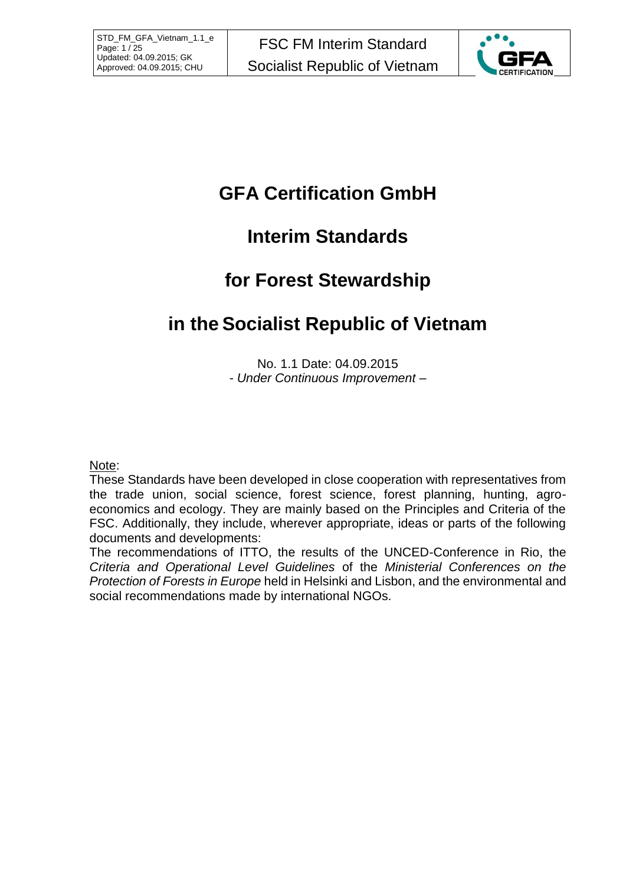

# **GFA Certification GmbH**

# **Interim Standards**

# **for Forest Stewardship**

# **in the Socialist Republic of Vietnam**

No. 1.1 Date: 04.09.2015 *- Under Continuous Improvement –*

Note:

These Standards have been developed in close cooperation with representatives from the trade union, social science, forest science, forest planning, hunting, agroeconomics and ecology. They are mainly based on the Principles and Criteria of the FSC. Additionally, they include, wherever appropriate, ideas or parts of the following documents and developments:

The recommendations of ITTO, the results of the UNCED-Conference in Rio, the *Criteria and Operational Level Guidelines* of the *Ministerial Conferences on the Protection of Forests in Europe* held in Helsinki and Lisbon, and the environmental and social recommendations made by international NGOs.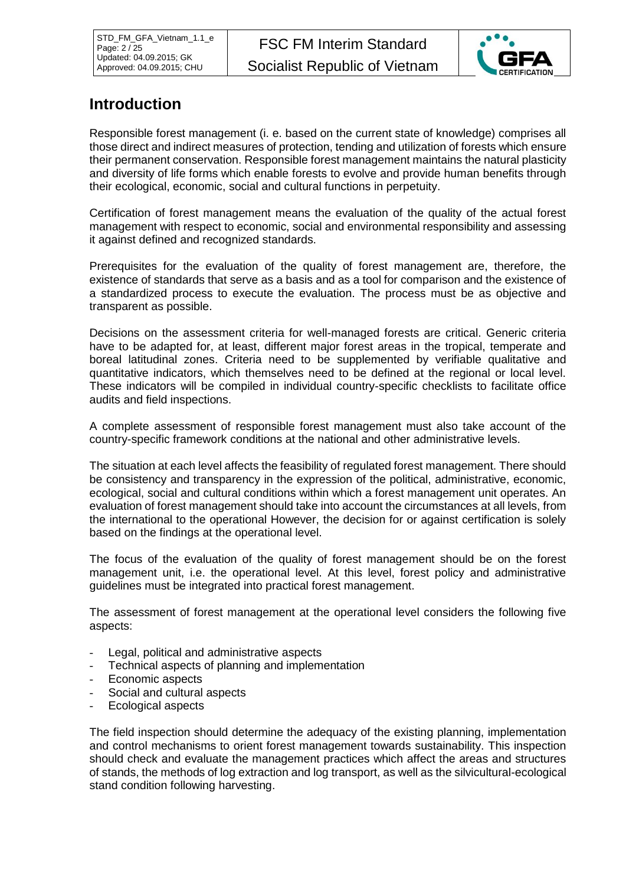

# **Introduction**

Responsible forest management (i. e. based on the current state of knowledge) comprises all those direct and indirect measures of protection, tending and utilization of forests which ensure their permanent conservation. Responsible forest management maintains the natural plasticity and diversity of life forms which enable forests to evolve and provide human benefits through their ecological, economic, social and cultural functions in perpetuity.

Certification of forest management means the evaluation of the quality of the actual forest management with respect to economic, social and environmental responsibility and assessing it against defined and recognized standards.

Prerequisites for the evaluation of the quality of forest management are, therefore, the existence of standards that serve as a basis and as a tool for comparison and the existence of a standardized process to execute the evaluation. The process must be as objective and transparent as possible.

Decisions on the assessment criteria for well-managed forests are critical. Generic criteria have to be adapted for, at least, different major forest areas in the tropical, temperate and boreal latitudinal zones. Criteria need to be supplemented by verifiable qualitative and quantitative indicators, which themselves need to be defined at the regional or local level. These indicators will be compiled in individual country-specific checklists to facilitate office audits and field inspections.

A complete assessment of responsible forest management must also take account of the country-specific framework conditions at the national and other administrative levels.

The situation at each level affects the feasibility of regulated forest management. There should be consistency and transparency in the expression of the political, administrative, economic, ecological, social and cultural conditions within which a forest management unit operates. An evaluation of forest management should take into account the circumstances at all levels, from the international to the operational However, the decision for or against certification is solely based on the findings at the operational level.

The focus of the evaluation of the quality of forest management should be on the forest management unit, i.e. the operational level. At this level, forest policy and administrative guidelines must be integrated into practical forest management.

The assessment of forest management at the operational level considers the following five aspects:

- Legal, political and administrative aspects
- Technical aspects of planning and implementation
- Economic aspects
- Social and cultural aspects
- Ecological aspects

The field inspection should determine the adequacy of the existing planning, implementation and control mechanisms to orient forest management towards sustainability. This inspection should check and evaluate the management practices which affect the areas and structures of stands, the methods of log extraction and log transport, as well as the silvicultural-ecological stand condition following harvesting.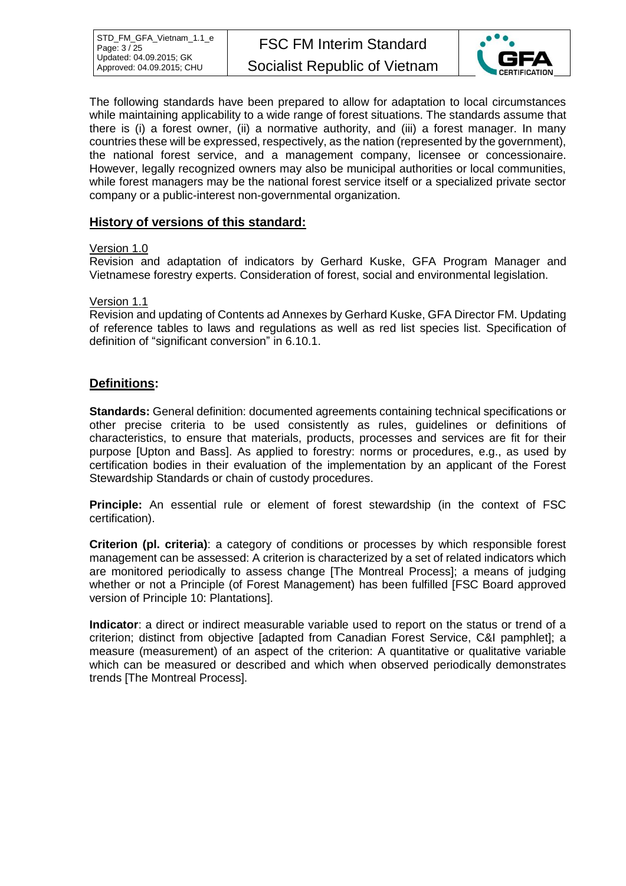

The following standards have been prepared to allow for adaptation to local circumstances while maintaining applicability to a wide range of forest situations. The standards assume that there is (i) a forest owner, (ii) a normative authority, and (iii) a forest manager. In many countries these will be expressed, respectively, as the nation (represented by the government), the national forest service, and a management company, licensee or concessionaire. However, legally recognized owners may also be municipal authorities or local communities, while forest managers may be the national forest service itself or a specialized private sector company or a public-interest non-governmental organization.

# **History of versions of this standard:**

# Version 1.0

Revision and adaptation of indicators by Gerhard Kuske, GFA Program Manager and Vietnamese forestry experts. Consideration of forest, social and environmental legislation.

# Version 1.1

Revision and updating of Contents ad Annexes by Gerhard Kuske, GFA Director FM. Updating of reference tables to laws and regulations as well as red list species list. Specification of definition of "significant conversion" in 6.10.1.

# **Definitions:**

**Standards:** General definition: documented agreements containing technical specifications or other precise criteria to be used consistently as rules, guidelines or definitions of characteristics, to ensure that materials, products, processes and services are fit for their purpose [Upton and Bass]. As applied to forestry: norms or procedures, e.g., as used by certification bodies in their evaluation of the implementation by an applicant of the Forest Stewardship Standards or chain of custody procedures.

**Principle:** An essential rule or element of forest stewardship (in the context of FSC certification).

**Criterion (pl. criteria)**: a category of conditions or processes by which responsible forest management can be assessed: A criterion is characterized by a set of related indicators which are monitored periodically to assess change [The Montreal Process]; a means of judging whether or not a Principle (of Forest Management) has been fulfilled [FSC Board approved version of Principle 10: Plantations].

**Indicator**: a direct or indirect measurable variable used to report on the status or trend of a criterion; distinct from objective [adapted from Canadian Forest Service, C&I pamphlet]; a measure (measurement) of an aspect of the criterion: A quantitative or qualitative variable which can be measured or described and which when observed periodically demonstrates trends [The Montreal Process].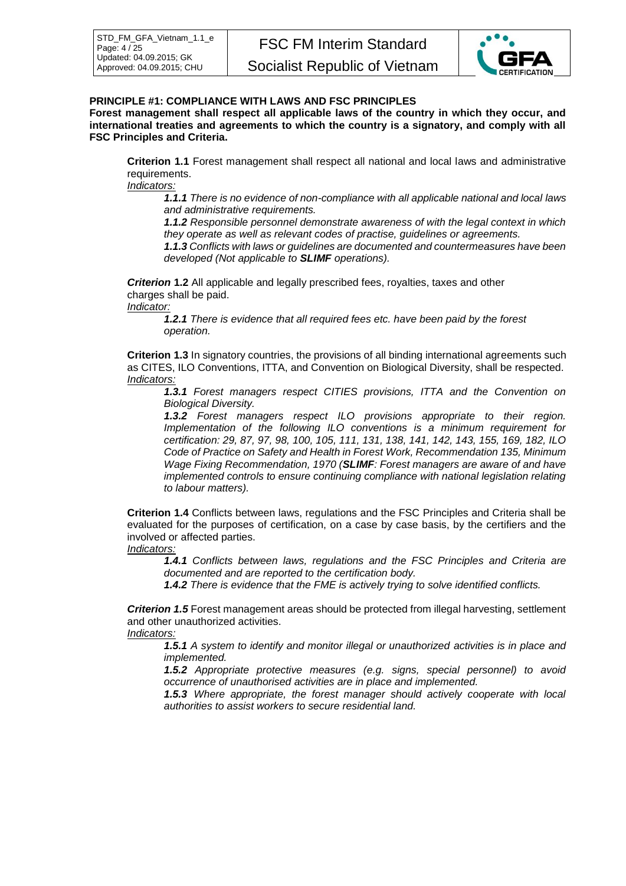

#### **PRINCIPLE #1: COMPLIANCE WITH LAWS AND FSC PRINCIPLES**

**Forest management shall respect all applicable laws of the country in which they occur, and international treaties and agreements to which the country is a signatory, and comply with all FSC Principles and Criteria.**

**Criterion 1.1** Forest management shall respect all national and local laws and administrative requirements.

*Indicators:*

*1.1.1 There is no evidence of non-compliance with all applicable national and local laws and administrative requirements.* 

*1.1.2 Responsible personnel demonstrate awareness of with the legal context in which they operate as well as relevant codes of practise, guidelines or agreements.*

*1.1.3 Conflicts with laws or guidelines are documented and countermeasures have been developed (Not applicable to SLIMF operations).*

*Criterion* **1.2** All applicable and legally prescribed fees, royalties, taxes and other charges shall be paid.

#### *Indicator:*

*1.2.1 There is evidence that all required fees etc. have been paid by the forest operation.*

**Criterion 1.3** In signatory countries, the provisions of all binding international agreements such as CITES, ILO Conventions, ITTA, and Convention on Biological Diversity, shall be respected. *Indicators:*

*1.3.1 Forest managers respect CITIES provisions, ITTA and the Convention on Biological Diversity.*

*1.3.2 Forest managers respect ILO provisions appropriate to their region. Implementation of the following ILO conventions is a minimum requirement for certification: 29, 87, 97, 98, 100, 105, 111, 131, 138, 141, 142, 143, 155, 169, 182, ILO Code of Practice on Safety and Health in Forest Work, Recommendation 135, Minimum Wage Fixing Recommendation, 1970 (SLIMF: Forest managers are aware of and have implemented controls to ensure continuing compliance with national legislation relating to labour matters).*

**Criterion 1.4** Conflicts between laws, regulations and the FSC Principles and Criteria shall be evaluated for the purposes of certification, on a case by case basis, by the certifiers and the involved or affected parties.

*Indicators:*

*1.4.1 Conflicts between laws, regulations and the FSC Principles and Criteria are documented and are reported to the certification body.*

*1.4.2 There is evidence that the FME is actively trying to solve identified conflicts.*

*Criterion 1.5* Forest management areas should be protected from illegal harvesting, settlement and other unauthorized activities.

*Indicators:*

*1.5.1 A system to identify and monitor illegal or unauthorized activities is in place and implemented.*

*1.5.2 Appropriate protective measures (e.g. signs, special personnel) to avoid occurrence of unauthorised activities are in place and implemented.*

*1.5.3 Where appropriate, the forest manager should actively cooperate with local authorities to assist workers to secure residential land.*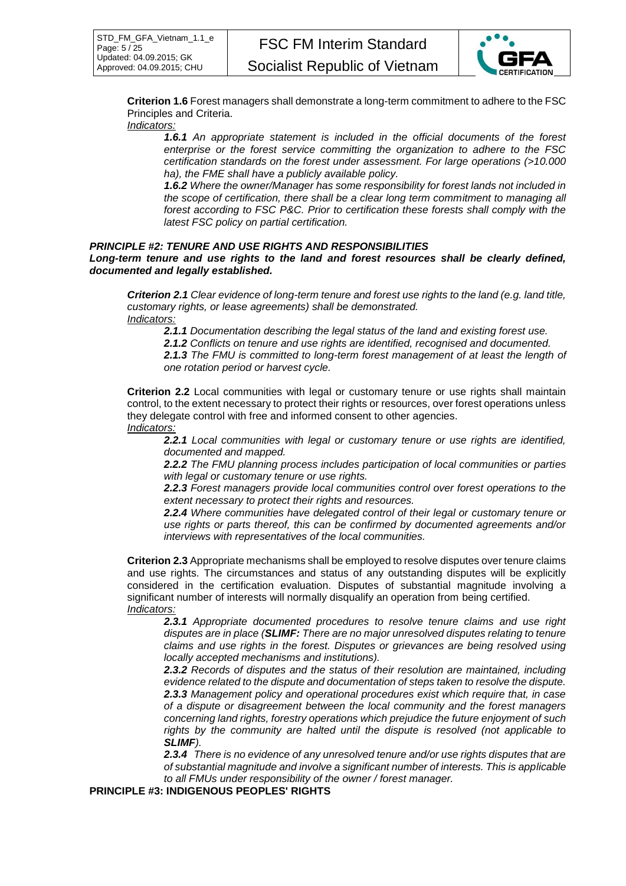

**Criterion 1.6** Forest managers shall demonstrate a long-term commitment to adhere to the FSC Principles and Criteria.

*Indicators:*

*1.6.1 An appropriate statement is included in the official documents of the forest enterprise or the forest service committing the organization to adhere to the FSC certification standards on the forest under assessment. For large operations (>10.000 ha), the FME shall have a publicly available policy.*

*1.6.2 Where the owner/Manager has some responsibility for forest lands not included in the scope of certification, there shall be a clear long term commitment to managing all forest according to FSC P&C. Prior to certification these forests shall comply with the latest FSC policy on partial certification.*

# *PRINCIPLE #2: TENURE AND USE RIGHTS AND RESPONSIBILITIES*

*Long-term tenure and use rights to the land and forest resources shall be clearly defined, documented and legally established.*

*Criterion 2.1 Clear evidence of long-term tenure and forest use rights to the land (e.g. land title, customary rights, or lease agreements) shall be demonstrated. Indicators:*

*2.1.1 Documentation describing the legal status of the land and existing forest use.*

*2.1.2 Conflicts on tenure and use rights are identified, recognised and documented.*

*2.1.3 The FMU is committed to long-term forest management of at least the length of one rotation period or harvest cycle.*

**Criterion 2.2** Local communities with legal or customary tenure or use rights shall maintain control, to the extent necessary to protect their rights or resources, over forest operations unless they delegate control with free and informed consent to other agencies. *Indicators:*

*2.2.1 Local communities with legal or customary tenure or use rights are identified, documented and mapped.*

*2.2.2 The FMU planning process includes participation of local communities or parties with legal or customary tenure or use rights.*

*2.2.3 Forest managers provide local communities control over forest operations to the extent necessary to protect their rights and resources.*

*2.2.4 Where communities have delegated control of their legal or customary tenure or use rights or parts thereof, this can be confirmed by documented agreements and/or interviews with representatives of the local communities.*

**Criterion 2.3** Appropriate mechanisms shall be employed to resolve disputes over tenure claims and use rights. The circumstances and status of any outstanding disputes will be explicitly considered in the certification evaluation. Disputes of substantial magnitude involving a significant number of interests will normally disqualify an operation from being certified. *Indicators:*

*2.3.1 Appropriate documented procedures to resolve tenure claims and use right disputes are in place (SLIMF: There are no major unresolved disputes relating to tenure claims and use rights in the forest. Disputes or grievances are being resolved using locally accepted mechanisms and institutions).*

*2.3.2 Records of disputes and the status of their resolution are maintained, including evidence related to the dispute and documentation of steps taken to resolve the dispute. 2.3.3 Management policy and operational procedures exist which require that, in case of a dispute or disagreement between the local community and the forest managers concerning land rights, forestry operations which prejudice the future enjoyment of such rights by the community are halted until the dispute is resolved (not applicable to SLIMF).*

*2.3.4 There is no evidence of any unresolved tenure and/or use rights disputes that are of substantial magnitude and involve a significant number of interests. This is applicable to all FMUs under responsibility of the owner / forest manager.*

#### **PRINCIPLE #3: INDIGENOUS PEOPLES' RIGHTS**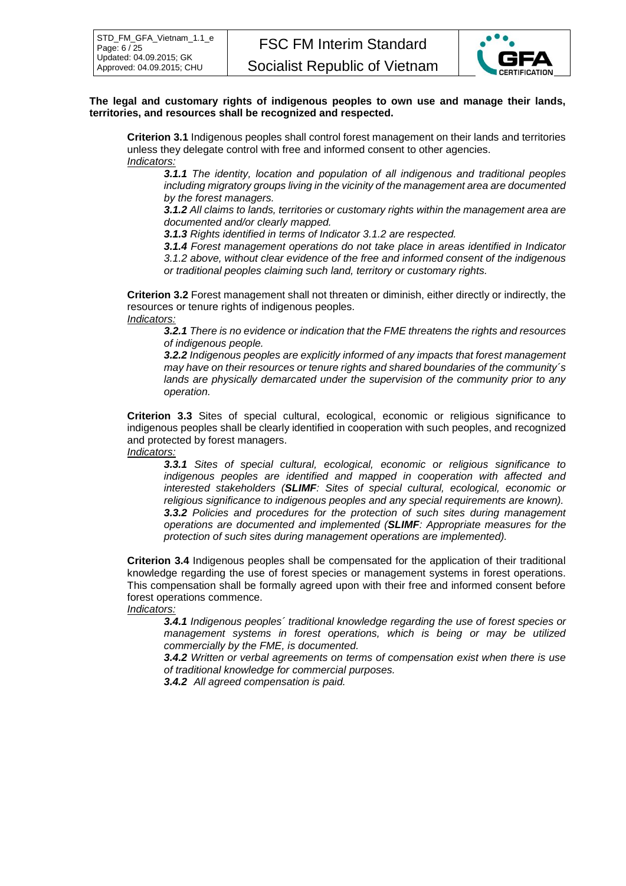

#### **The legal and customary rights of indigenous peoples to own use and manage their lands, territories, and resources shall be recognized and respected.**

**Criterion 3.1** Indigenous peoples shall control forest management on their lands and territories unless they delegate control with free and informed consent to other agencies. *Indicators:*

*3.1.1 The identity, location and population of all indigenous and traditional peoples including migratory groups living in the vicinity of the management area are documented by the forest managers.*

*3.1.2 All claims to lands, territories or customary rights within the management area are documented and/or clearly mapped.*

*3.1.3 Rights identified in terms of Indicator 3.1.2 are respected.*

*3.1.4 Forest management operations do not take place in areas identified in Indicator 3.1.2 above, without clear evidence of the free and informed consent of the indigenous or traditional peoples claiming such land, territory or customary rights.*

**Criterion 3.2** Forest management shall not threaten or diminish, either directly or indirectly, the resources or tenure rights of indigenous peoples. *Indicators:*

*3.2.1 There is no evidence or indication that the FME threatens the rights and resources of indigenous people.*

*3.2.2 Indigenous peoples are explicitly informed of any impacts that forest management may have on their resources or tenure rights and shared boundaries of the community´s lands are physically demarcated under the supervision of the community prior to any operation.*

**Criterion 3.3** Sites of special cultural, ecological, economic or religious significance to indigenous peoples shall be clearly identified in cooperation with such peoples, and recognized and protected by forest managers.

*Indicators:*

*3.3.1 Sites of special cultural, ecological, economic or religious significance to*  indigenous peoples are identified and mapped in cooperation with affected and *interested stakeholders (SLIMF: Sites of special cultural, ecological, economic or religious significance to indigenous peoples and any special requirements are known). 3.3.2 Policies and procedures for the protection of such sites during management operations are documented and implemented (SLIMF: Appropriate measures for the protection of such sites during management operations are implemented).*

**Criterion 3.4** Indigenous peoples shall be compensated for the application of their traditional knowledge regarding the use of forest species or management systems in forest operations. This compensation shall be formally agreed upon with their free and informed consent before forest operations commence.

*Indicators:*

*3.4.1 Indigenous peoples´ traditional knowledge regarding the use of forest species or management systems in forest operations, which is being or may be utilized commercially by the FME, is documented.*

*3.4.2 Written or verbal agreements on terms of compensation exist when there is use of traditional knowledge for commercial purposes.*

*3.4.2 All agreed compensation is paid.*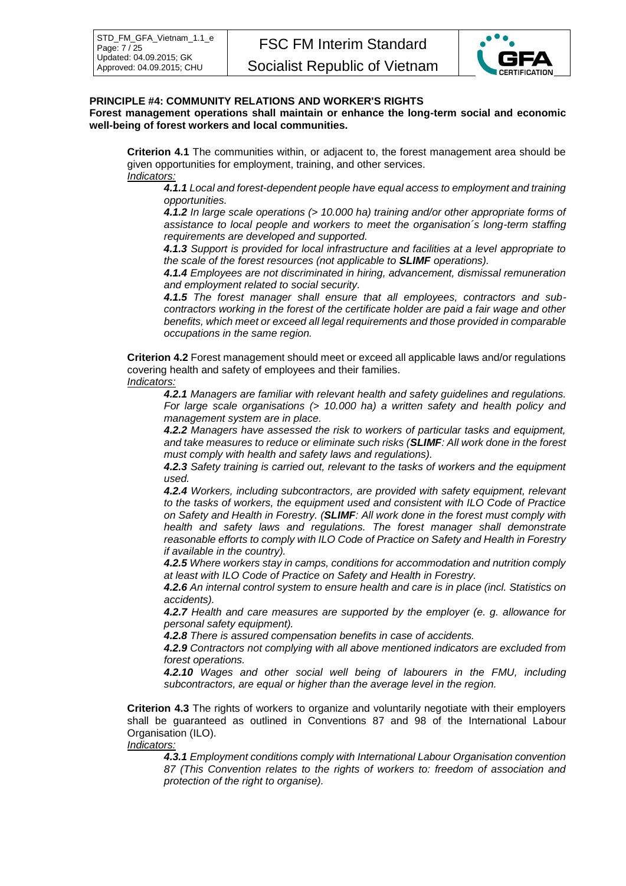

## **PRINCIPLE #4: COMMUNITY RELATIONS AND WORKER'S RIGHTS**

#### **Forest management operations shall maintain or enhance the long-term social and economic well-being of forest workers and local communities.**

**Criterion 4.1** The communities within, or adjacent to, the forest management area should be given opportunities for employment, training, and other services. *Indicators:*

*4.1.1 Local and forest-dependent people have equal access to employment and training opportunities.*

*4.1.2 In large scale operations (> 10.000 ha) training and/or other appropriate forms of assistance to local people and workers to meet the organisation´s long-term staffing requirements are developed and supported.*

*4.1.3 Support is provided for local infrastructure and facilities at a level appropriate to the scale of the forest resources (not applicable to SLIMF operations).*

*4.1.4 Employees are not discriminated in hiring, advancement, dismissal remuneration and employment related to social security.*

*4.1.5 The forest manager shall ensure that all employees, contractors and subcontractors working in the forest of the certificate holder are paid a fair wage and other benefits, which meet or exceed all legal requirements and those provided in comparable occupations in the same region.* 

**Criterion 4.2** Forest management should meet or exceed all applicable laws and/or regulations covering health and safety of employees and their families.

#### *Indicators:*

*4.2.1 Managers are familiar with relevant health and safety guidelines and regulations. For large scale organisations (> 10.000 ha) a written safety and health policy and management system are in place.*

*4.2.2 Managers have assessed the risk to workers of particular tasks and equipment, and take measures to reduce or eliminate such risks (SLIMF: All work done in the forest must comply with health and safety laws and regulations).*

*4.2.3 Safety training is carried out, relevant to the tasks of workers and the equipment used.*

*4.2.4 Workers, including subcontractors, are provided with safety equipment, relevant to the tasks of workers, the equipment used and consistent with ILO Code of Practice on Safety and Health in Forestry. (SLIMF: All work done in the forest must comply with health and safety laws and regulations. The forest manager shall demonstrate reasonable efforts to comply with ILO Code of Practice on Safety and Health in Forestry if available in the country).*

*4.2.5 Where workers stay in camps, conditions for accommodation and nutrition comply at least with ILO Code of Practice on Safety and Health in Forestry.*

*4.2.6 An internal control system to ensure health and care is in place (incl. Statistics on accidents).*

*4.2.7 Health and care measures are supported by the employer (e. g. allowance for personal safety equipment).*

*4.2.8 There is assured compensation benefits in case of accidents.*

*4.2.9 Contractors not complying with all above mentioned indicators are excluded from forest operations.*

*4.2.10 Wages and other social well being of labourers in the FMU, including subcontractors, are equal or higher than the average level in the region.*

**Criterion 4.3** The rights of workers to organize and voluntarily negotiate with their employers shall be guaranteed as outlined in Conventions 87 and 98 of the International Labour Organisation (ILO).

*Indicators:*

*4.3.1 Employment conditions comply with International Labour Organisation convention 87 (This Convention relates to the rights of workers to: freedom of association and protection of the right to organise).*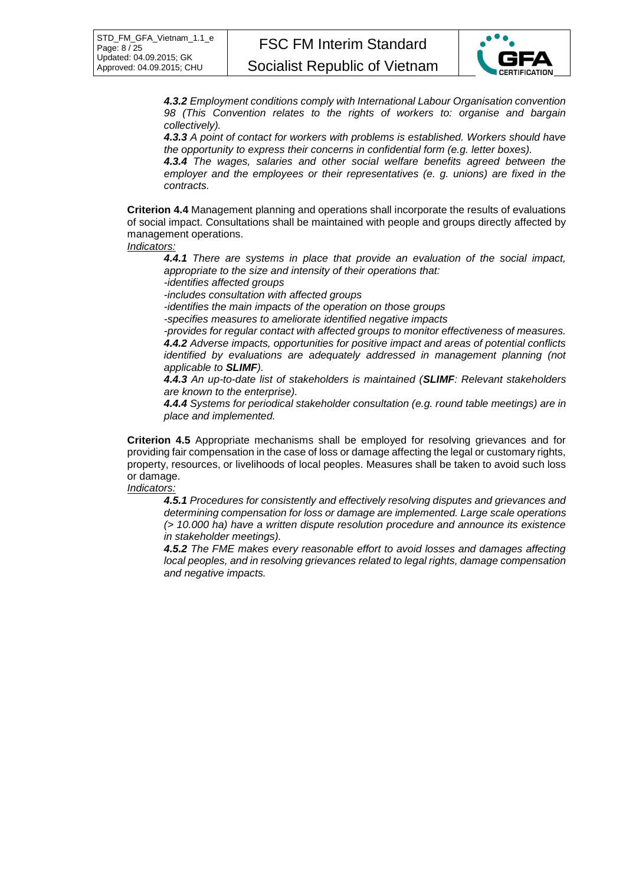

*4.3.2 Employment conditions comply with International Labour Organisation convention 98 (This Convention relates to the rights of workers to: organise and bargain collectively).*

*4.3.3 A point of contact for workers with problems is established. Workers should have the opportunity to express their concerns in confidential form (e.g. letter boxes).*

*4.3.4 The wages, salaries and other social welfare benefits agreed between the employer and the employees or their representatives (e. g. unions) are fixed in the contracts.*

**Criterion 4.4** Management planning and operations shall incorporate the results of evaluations of social impact. Consultations shall be maintained with people and groups directly affected by management operations.

#### *Indicators:*

*4.4.1 There are systems in place that provide an evaluation of the social impact, appropriate to the size and intensity of their operations that:*

*-identifies affected groups*

*-includes consultation with affected groups*

*-identifies the main impacts of the operation on those groups*

*-specifies measures to ameliorate identified negative impacts*

*-provides for regular contact with affected groups to monitor effectiveness of measures. 4.4.2 Adverse impacts, opportunities for positive impact and areas of potential conflicts identified by evaluations are adequately addressed in management planning (not applicable to SLIMF).*

*4.4.3 An up-to-date list of stakeholders is maintained (SLIMF: Relevant stakeholders are known to the enterprise).*

*4.4.4 Systems for periodical stakeholder consultation (e.g. round table meetings) are in place and implemented.* 

**Criterion 4.5** Appropriate mechanisms shall be employed for resolving grievances and for providing fair compensation in the case of loss or damage affecting the legal or customary rights, property, resources, or livelihoods of local peoples. Measures shall be taken to avoid such loss or damage.

*Indicators:*

*4.5.1 Procedures for consistently and effectively resolving disputes and grievances and determining compensation for loss or damage are implemented. Large scale operations (> 10.000 ha) have a written dispute resolution procedure and announce its existence in stakeholder meetings).*

*4.5.2 The FME makes every reasonable effort to avoid losses and damages affecting local peoples, and in resolving grievances related to legal rights, damage compensation and negative impacts.*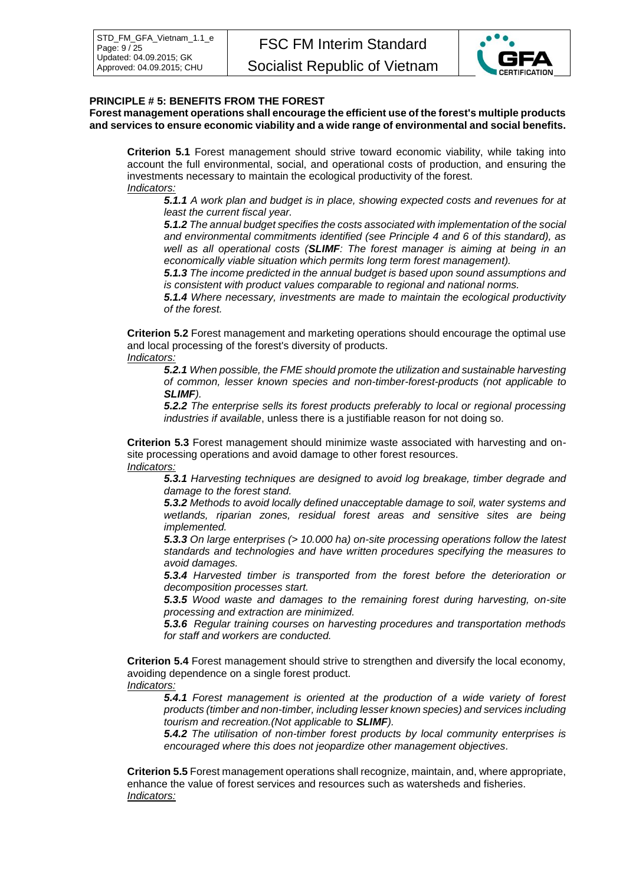

#### **PRINCIPLE # 5: BENEFITS FROM THE FOREST**

**Forest management operations shall encourage the efficient use of the forest's multiple products and services to ensure economic viability and a wide range of environmental and social benefits.**

**Criterion 5.1** Forest management should strive toward economic viability, while taking into account the full environmental, social, and operational costs of production, and ensuring the investments necessary to maintain the ecological productivity of the forest. *Indicators:*

*5.1.1 A work plan and budget is in place, showing expected costs and revenues for at least the current fiscal year.*

*5.1.2 The annual budget specifies the costs associated with implementation of the social and environmental commitments identified (see Principle 4 and 6 of this standard), as well as all operational costs (SLIMF: The forest manager is aiming at being in an economically viable situation which permits long term forest management).*

*5.1.3 The income predicted in the annual budget is based upon sound assumptions and is consistent with product values comparable to regional and national norms.*

*5.1.4 Where necessary, investments are made to maintain the ecological productivity of the forest.*

**Criterion 5.2** Forest management and marketing operations should encourage the optimal use and local processing of the forest's diversity of products. *Indicators:*

*5.2.1 When possible, the FME should promote the utilization and sustainable harvesting of common, lesser known species and non-timber-forest-products (not applicable to SLIMF).*

*5.2.2 The enterprise sells its forest products preferably to local or regional processing industries if available*, unless there is a justifiable reason for not doing so.

**Criterion 5.3** Forest management should minimize waste associated with harvesting and onsite processing operations and avoid damage to other forest resources. *Indicators:*

*5.3.1 Harvesting techniques are designed to avoid log breakage, timber degrade and damage to the forest stand.*

*5.3.2 Methods to avoid locally defined unacceptable damage to soil, water systems and wetlands, riparian zones, residual forest areas and sensitive sites are being implemented.*

*5.3.3 On large enterprises (> 10.000 ha) on-site processing operations follow the latest standards and technologies and have written procedures specifying the measures to avoid damages.*

*5.3.4 Harvested timber is transported from the forest before the deterioration or decomposition processes start.*

*5.3.5 Wood waste and damages to the remaining forest during harvesting, on-site processing and extraction are minimized.* 

*5.3.6 Regular training courses on harvesting procedures and transportation methods for staff and workers are conducted.*

**Criterion 5.4** Forest management should strive to strengthen and diversify the local economy, avoiding dependence on a single forest product. *Indicators:*

*5.4.1 Forest management is oriented at the production of a wide variety of forest products (timber and non-timber, including lesser known species) and services including tourism and recreation.(Not applicable to SLIMF).*

*5.4.2 The utilisation of non-timber forest products by local community enterprises is encouraged where this does not jeopardize other management objectives.*

**Criterion 5.5** Forest management operations shall recognize, maintain, and, where appropriate, enhance the value of forest services and resources such as watersheds and fisheries. *Indicators:*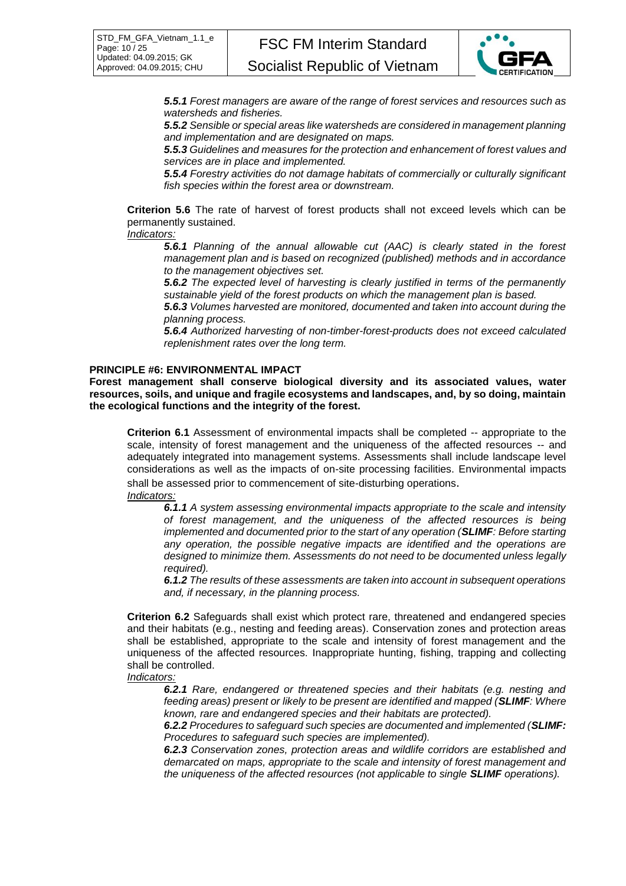

*5.5.1 Forest managers are aware of the range of forest services and resources such as watersheds and fisheries.*

*5.5.2 Sensible or special areas like watersheds are considered in management planning and implementation and are designated on maps.*

*5.5.3 Guidelines and measures for the protection and enhancement of forest values and services are in place and implemented.*

*5.5.4 Forestry activities do not damage habitats of commercially or culturally significant fish species within the forest area or downstream.*

**Criterion 5.6** The rate of harvest of forest products shall not exceed levels which can be permanently sustained.

#### *Indicators:*

*5.6.1 Planning of the annual allowable cut (AAC) is clearly stated in the forest management plan and is based on recognized (published) methods and in accordance to the management objectives set.*

*5.6.2 The expected level of harvesting is clearly justified in terms of the permanently sustainable yield of the forest products on which the management plan is based.*

*5.6.3 Volumes harvested are monitored, documented and taken into account during the planning process.*

*5.6.4 Authorized harvesting of non-timber-forest-products does not exceed calculated replenishment rates over the long term.*

#### **PRINCIPLE #6: ENVIRONMENTAL IMPACT**

**Forest management shall conserve biological diversity and its associated values, water resources, soils, and unique and fragile ecosystems and landscapes, and, by so doing, maintain the ecological functions and the integrity of the forest.**

**Criterion 6.1** Assessment of environmental impacts shall be completed -- appropriate to the scale, intensity of forest management and the uniqueness of the affected resources -- and adequately integrated into management systems. Assessments shall include landscape level considerations as well as the impacts of on-site processing facilities. Environmental impacts shall be assessed prior to commencement of site-disturbing operations. *Indicators:*

*6.1.1 A system assessing environmental impacts appropriate to the scale and intensity of forest management, and the uniqueness of the affected resources is being implemented and documented prior to the start of any operation (SLIMF: Before starting any operation, the possible negative impacts are identified and the operations are designed to minimize them. Assessments do not need to be documented unless legally required).*

*6.1.2 The results of these assessments are taken into account in subsequent operations and, if necessary, in the planning process.*

**Criterion 6.2** Safeguards shall exist which protect rare, threatened and endangered species and their habitats (e.g., nesting and feeding areas). Conservation zones and protection areas shall be established, appropriate to the scale and intensity of forest management and the uniqueness of the affected resources. Inappropriate hunting, fishing, trapping and collecting shall be controlled.

#### *Indicators:*

*6.2.1 Rare, endangered or threatened species and their habitats (e.g. nesting and feeding areas) present or likely to be present are identified and mapped (SLIMF: Where known, rare and endangered species and their habitats are protected).*

*6.2.2 Procedures to safeguard such species are documented and implemented (SLIMF: Procedures to safeguard such species are implemented).*

*6.2.3 Conservation zones, protection areas and wildlife corridors are established and demarcated on maps, appropriate to the scale and intensity of forest management and the uniqueness of the affected resources (not applicable to single SLIMF operations).*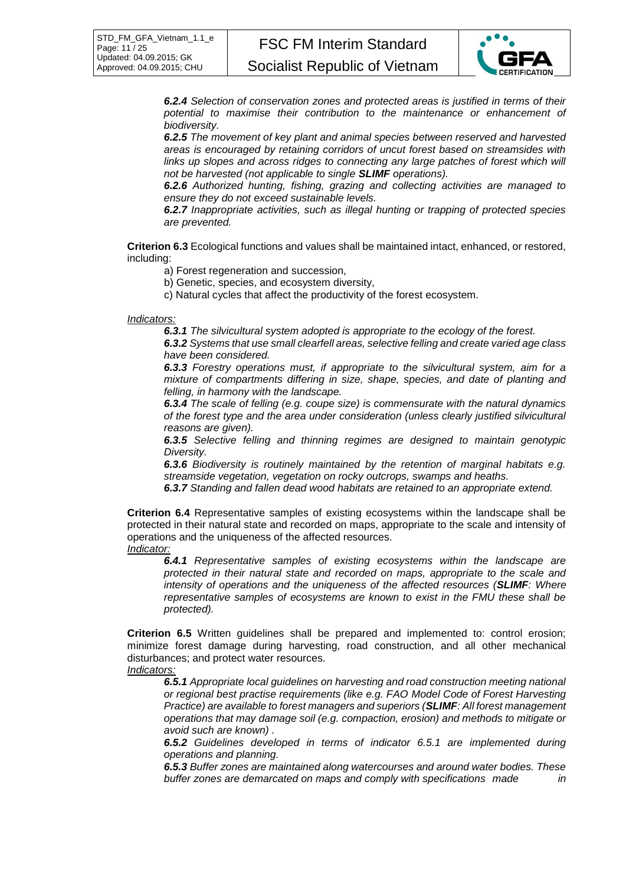

*6.2.4 Selection of conservation zones and protected areas is justified in terms of their potential to maximise their contribution to the maintenance or enhancement of biodiversity.*

*6.2.5 The movement of key plant and animal species between reserved and harvested areas is encouraged by retaining corridors of uncut forest based on streamsides with links up slopes and across ridges to connecting any large patches of forest which will not be harvested (not applicable to single SLIMF operations).*

*6.2.6 Authorized hunting, fishing, grazing and collecting activities are managed to ensure they do not exceed sustainable levels.*

*6.2.7 Inappropriate activities, such as illegal hunting or trapping of protected species are prevented.*

**Criterion 6.3** Ecological functions and values shall be maintained intact, enhanced, or restored, including:

a) Forest regeneration and succession,

b) Genetic, species, and ecosystem diversity,

c) Natural cycles that affect the productivity of the forest ecosystem.

*Indicators:*

*6.3.1 The silvicultural system adopted is appropriate to the ecology of the forest.*

*6.3.2 Systems that use small clearfell areas, selective felling and create varied age class have been considered.*

*6.3.3 Forestry operations must, if appropriate to the silvicultural system, aim for a mixture of compartments differing in size, shape, species, and date of planting and felling, in harmony with the landscape.*

*6.3.4 The scale of felling (e.g. coupe size) is commensurate with the natural dynamics of the forest type and the area under consideration (unless clearly justified silvicultural reasons are given).*

*6.3.5 Selective felling and thinning regimes are designed to maintain genotypic Diversity.*

*6.3.6 Biodiversity is routinely maintained by the retention of marginal habitats e.g. streamside vegetation, vegetation on rocky outcrops, swamps and heaths.*

*6.3.7 Standing and fallen dead wood habitats are retained to an appropriate extend.*

**Criterion 6.4** Representative samples of existing ecosystems within the landscape shall be protected in their natural state and recorded on maps, appropriate to the scale and intensity of operations and the uniqueness of the affected resources.

#### *Indicator:*

*6.4.1 Representative samples of existing ecosystems within the landscape are protected in their natural state and recorded on maps, appropriate to the scale and intensity of operations and the uniqueness of the affected resources (SLIMF: Where representative samples of ecosystems are known to exist in the FMU these shall be protected).*

**Criterion 6.5** Written guidelines shall be prepared and implemented to: control erosion; minimize forest damage during harvesting, road construction, and all other mechanical disturbances; and protect water resources.

*Indicators:*

*6.5.1 Appropriate local guidelines on harvesting and road construction meeting national or regional best practise requirements (like e.g. FAO Model Code of Forest Harvesting Practice) are available to forest managers and superiors (SLIMF: All forest management operations that may damage soil (e.g. compaction, erosion) and methods to mitigate or avoid such are known) .*

*6.5.2 Guidelines developed in terms of indicator 6.5.1 are implemented during operations and planning.*

*6.5.3 Buffer zones are maintained along watercourses and around water bodies. These buffer zones are demarcated on maps and comply with specifications made in*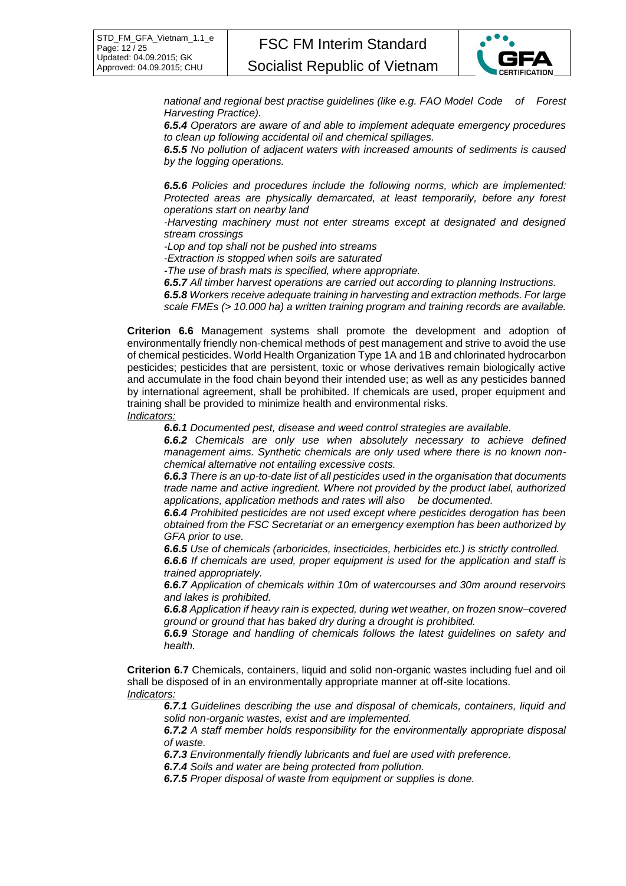

*national and regional best practise guidelines (like e.g. FAO Model Code of Forest Harvesting Practice).*

*6.5.4 Operators are aware of and able to implement adequate emergency procedures to clean up following accidental oil and chemical spillages.*

*6.5.5 No pollution of adjacent waters with increased amounts of sediments is caused by the logging operations.*

*6.5.6 Policies and procedures include the following norms, which are implemented: Protected areas are physically demarcated, at least temporarily, before any forest operations start on nearby land*

*-Harvesting machinery must not enter streams except at designated and designed stream crossings* 

*-Lop and top shall not be pushed into streams*

*-Extraction is stopped when soils are saturated*

*-The use of brash mats is specified, where appropriate.*

*6.5.7 All timber harvest operations are carried out according to planning Instructions.*

*6.5.8 Workers receive adequate training in harvesting and extraction methods. For large scale FMEs (> 10.000 ha) a written training program and training records are available.* 

**Criterion 6.6** Management systems shall promote the development and adoption of environmentally friendly non-chemical methods of pest management and strive to avoid the use of chemical pesticides. World Health Organization Type 1A and 1B and chlorinated hydrocarbon pesticides; pesticides that are persistent, toxic or whose derivatives remain biologically active and accumulate in the food chain beyond their intended use; as well as any pesticides banned by international agreement, shall be prohibited. If chemicals are used, proper equipment and training shall be provided to minimize health and environmental risks. *Indicators:*

*6.6.1 Documented pest, disease and weed control strategies are available.*

*6.6.2 Chemicals are only use when absolutely necessary to achieve defined management aims. Synthetic chemicals are only used where there is no known nonchemical alternative not entailing excessive costs.*

*6.6.3 There is an up-to-date list of all pesticides used in the organisation that documents trade name and active ingredient. Where not provided by the product label, authorized applications, application methods and rates will also be documented.*

*6.6.4 Prohibited pesticides are not used except where pesticides derogation has been obtained from the FSC Secretariat or an emergency exemption has been authorized by GFA prior to use.*

*6.6.5 Use of chemicals (arboricides, insecticides, herbicides etc.) is strictly controlled.*

*6.6.6 If chemicals are used, proper equipment is used for the application and staff is trained appropriately.*

*6.6.7 Application of chemicals within 10m of watercourses and 30m around reservoirs and lakes is prohibited.*

*6.6.8 Application if heavy rain is expected, during wet weather, on frozen snow–covered ground or ground that has baked dry during a drought is prohibited.*

*6.6.9 Storage and handling of chemicals follows the latest guidelines on safety and health.*

**Criterion 6.7** Chemicals, containers, liquid and solid non-organic wastes including fuel and oil shall be disposed of in an environmentally appropriate manner at off-site locations. *Indicators:*

*6.7.1 Guidelines describing the use and disposal of chemicals, containers, liquid and solid non-organic wastes, exist and are implemented.*

*6.7.2 A staff member holds responsibility for the environmentally appropriate disposal of waste.*

*6.7.3 Environmentally friendly lubricants and fuel are used with preference.*

*6.7.4 Soils and water are being protected from pollution.*

*6.7.5 Proper disposal of waste from equipment or supplies is done.*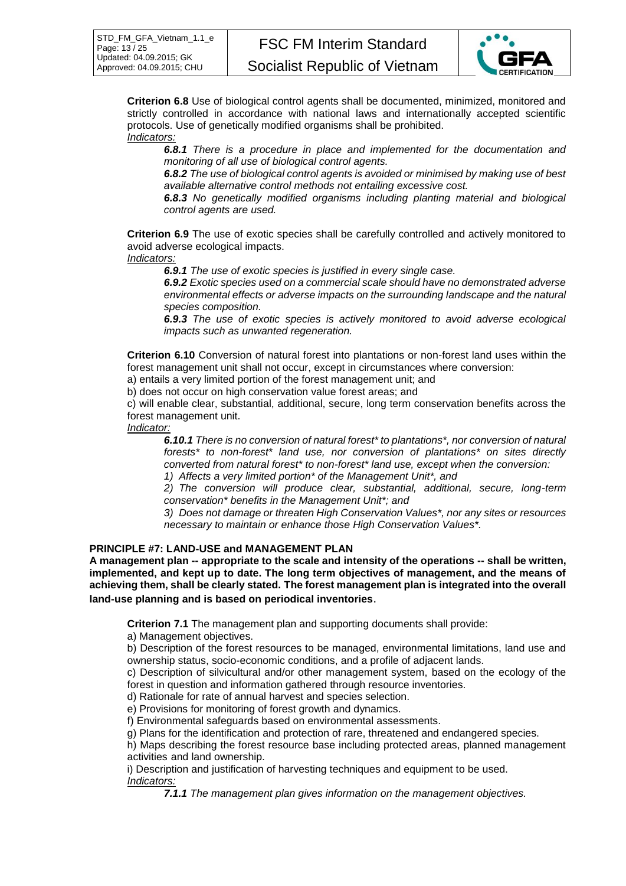

**Criterion 6.8** Use of biological control agents shall be documented, minimized, monitored and strictly controlled in accordance with national laws and internationally accepted scientific protocols. Use of genetically modified organisms shall be prohibited. *Indicators:*

*6.8.1 There is a procedure in place and implemented for the documentation and monitoring of all use of biological control agents.*

*6.8.2 The use of biological control agents is avoided or minimised by making use of best available alternative control methods not entailing excessive cost.*

*6.8.3 No genetically modified organisms including planting material and biological control agents are used.*

**Criterion 6.9** The use of exotic species shall be carefully controlled and actively monitored to avoid adverse ecological impacts.

*Indicators:*

*6.9.1 The use of exotic species is justified in every single case.*

*6.9.2 Exotic species used on a commercial scale should have no demonstrated adverse environmental effects or adverse impacts on the surrounding landscape and the natural species composition.*

*6.9.3 The use of exotic species is actively monitored to avoid adverse ecological impacts such as unwanted regeneration.*

**Criterion 6.10** Conversion of natural forest into plantations or non-forest land uses within the forest management unit shall not occur, except in circumstances where conversion:

a) entails a very limited portion of the forest management unit; and

b) does not occur on high conservation value forest areas; and

c) will enable clear, substantial, additional, secure, long term conservation benefits across the forest management unit.

*Indicator:*

*6.10.1 There is no conversion of natural forest\* to plantations\*, nor conversion of natural forests\* to non-forest\* land use, nor conversion of plantations\* on sites directly converted from natural forest\* to non-forest\* land use, except when the conversion: 1) Affects a very limited portion\* of the Management Unit\*, and*

*2) The conversion will produce clear, substantial, additional, secure, long-term conservation\* benefits in the Management Unit\*; and*

*3) Does not damage or threaten High Conservation Values\*, nor any sites or resources necessary to maintain or enhance those High Conservation Values\*.*

#### **PRINCIPLE #7: LAND-USE and MANAGEMENT PLAN**

**A management plan -- appropriate to the scale and intensity of the operations -- shall be written, implemented, and kept up to date. The long term objectives of management, and the means of achieving them, shall be clearly stated. The forest management plan is integrated into the overall land-use planning and is based on periodical inventories**.

**Criterion 7.1** The management plan and supporting documents shall provide:

a) Management objectives.

b) Description of the forest resources to be managed, environmental limitations, land use and ownership status, socio-economic conditions, and a profile of adjacent lands.

c) Description of silvicultural and/or other management system, based on the ecology of the forest in question and information gathered through resource inventories.

d) Rationale for rate of annual harvest and species selection.

e) Provisions for monitoring of forest growth and dynamics.

f) Environmental safeguards based on environmental assessments.

g) Plans for the identification and protection of rare, threatened and endangered species.

h) Maps describing the forest resource base including protected areas, planned management activities and land ownership.

i) Description and justification of harvesting techniques and equipment to be used. *Indicators:*

*7.1.1 The management plan gives information on the management objectives.*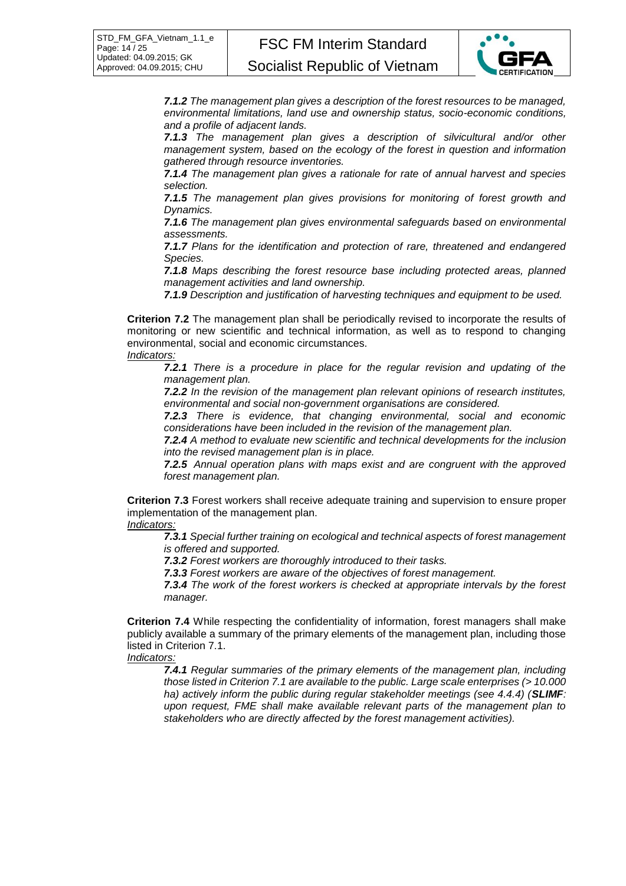

*7.1.2 The management plan gives a description of the forest resources to be managed, environmental limitations, land use and ownership status, socio-economic conditions, and a profile of adjacent lands.*

*7.1.3 The management plan gives a description of silvicultural and/or other management system, based on the ecology of the forest in question and information gathered through resource inventories.*

*7.1.4 The management plan gives a rationale for rate of annual harvest and species selection.*

*7.1.5 The management plan gives provisions for monitoring of forest growth and Dynamics.*

*7.1.6 The management plan gives environmental safeguards based on environmental assessments.*

*7.1.7 Plans for the identification and protection of rare, threatened and endangered Species.*

*7.1.8 Maps describing the forest resource base including protected areas, planned management activities and land ownership.*

*7.1.9 Description and justification of harvesting techniques and equipment to be used.*

**Criterion 7.2** The management plan shall be periodically revised to incorporate the results of monitoring or new scientific and technical information, as well as to respond to changing environmental, social and economic circumstances. *Indicators:*

*7.2.1 There is a procedure in place for the regular revision and updating of the management plan.*

*7.2.2 In the revision of the management plan relevant opinions of research institutes, environmental and social non-government organisations are considered.*

*7.2.3 There is evidence, that changing environmental, social and economic considerations have been included in the revision of the management plan.*

*7.2.4 A method to evaluate new scientific and technical developments for the inclusion into the revised management plan is in place.*

*7.2.5 Annual operation plans with maps exist and are congruent with the approved forest management plan.*

**Criterion 7.3** Forest workers shall receive adequate training and supervision to ensure proper implementation of the management plan.

#### *Indicators:*

*7.3.1 Special further training on ecological and technical aspects of forest management is offered and supported.*

*7.3.2 Forest workers are thoroughly introduced to their tasks.*

*7.3.3 Forest workers are aware of the objectives of forest management.*

*7.3.4 The work of the forest workers is checked at appropriate intervals by the forest manager.*

**Criterion 7.4** While respecting the confidentiality of information, forest managers shall make publicly available a summary of the primary elements of the management plan, including those listed in Criterion 7.1.

#### *Indicators:*

*7.4.1 Regular summaries of the primary elements of the management plan, including those listed in Criterion 7.1 are available to the public. Large scale enterprises (> 10.000 ha) actively inform the public during regular stakeholder meetings (see 4.4.4) (SLIMF: upon request, FME shall make available relevant parts of the management plan to stakeholders who are directly affected by the forest management activities).*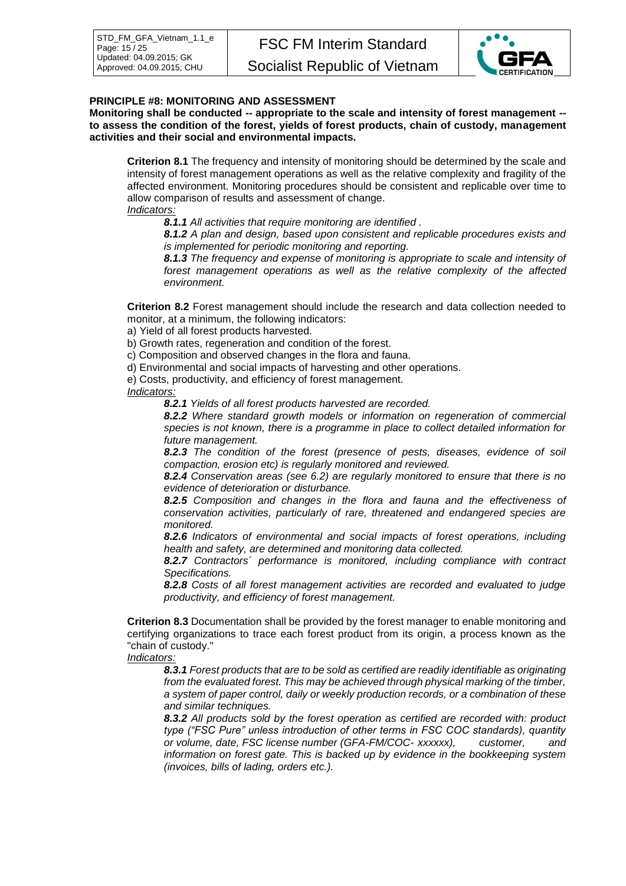

#### **PRINCIPLE #8: MONITORING AND ASSESSMENT**

**Monitoring shall be conducted -- appropriate to the scale and intensity of forest management - to assess the condition of the forest, yields of forest products, chain of custody, management activities and their social and environmental impacts.**

**Criterion 8.1** The frequency and intensity of monitoring should be determined by the scale and intensity of forest management operations as well as the relative complexity and fragility of the affected environment. Monitoring procedures should be consistent and replicable over time to allow comparison of results and assessment of change.

*Indicators:*

*8.1.1 All activities that require monitoring are identified .*

*8.1.2 A plan and design, based upon consistent and replicable procedures exists and is implemented for periodic monitoring and reporting.*

*8.1.3 The frequency and expense of monitoring is appropriate to scale and intensity of forest management operations as well as the relative complexity of the affected environment.*

**Criterion 8.2** Forest management should include the research and data collection needed to monitor, at a minimum, the following indicators:

a) Yield of all forest products harvested.

b) Growth rates, regeneration and condition of the forest.

c) Composition and observed changes in the flora and fauna.

d) Environmental and social impacts of harvesting and other operations.

e) Costs, productivity, and efficiency of forest management.

#### *Indicators:*

*8.2.1 Yields of all forest products harvested are recorded.*

*8.2.2 Where standard growth models or information on regeneration of commercial species is not known, there is a programme in place to collect detailed information for future management.*

*8.2.3 The condition of the forest (presence of pests, diseases, evidence of soil compaction, erosion etc) is regularly monitored and reviewed.*

*8.2.4 Conservation areas (see 6.2) are regularly monitored to ensure that there is no evidence of deterioration or disturbance.*

*8.2.5 Composition and changes in the flora and fauna and the effectiveness of conservation activities, particularly of rare, threatened and endangered species are monitored.*

*8.2.6 Indicators of environmental and social impacts of forest operations, including health and safety, are determined and monitoring data collected.*

*8.2.7 Contractors´ performance is monitored, including compliance with contract Specifications.*

*8.2.8 Costs of all forest management activities are recorded and evaluated to judge productivity, and efficiency of forest management.*

**Criterion 8.3** Documentation shall be provided by the forest manager to enable monitoring and certifying organizations to trace each forest product from its origin, a process known as the "chain of custody."

*Indicators:*

*8.3.1 Forest products that are to be sold as certified are readily identifiable as originating from the evaluated forest. This may be achieved through physical marking of the timber, a system of paper control, daily or weekly production records, or a combination of these and similar techniques.*

*8.3.2 All products sold by the forest operation as certified are recorded with: product type ("FSC Pure" unless introduction of other terms in FSC COC standards), quantity or volume, date, FSC license number (GFA-FM/COC- xxxxxx), customer, and information on forest gate. This is backed up by evidence in the bookkeeping system (invoices, bills of lading, orders etc.).*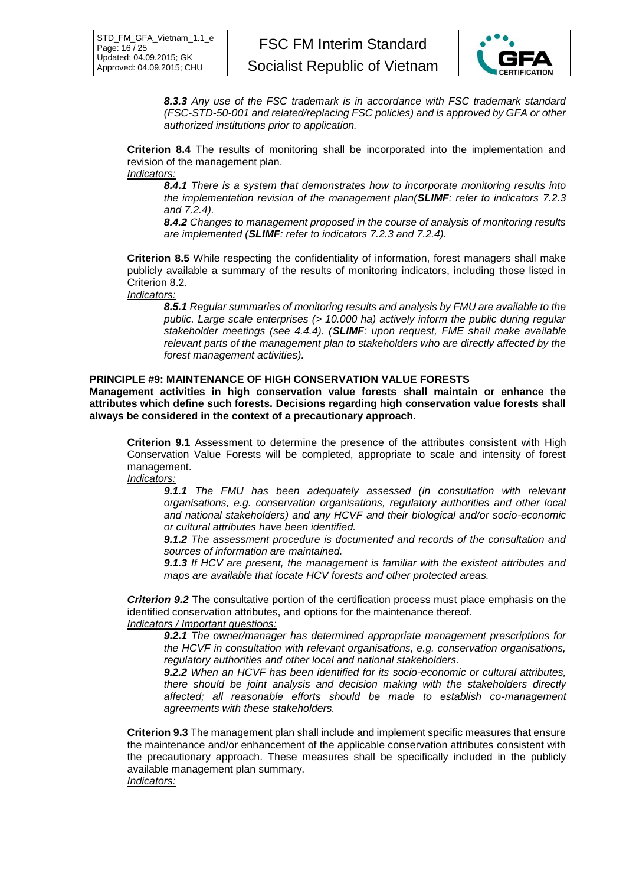

*8.3.3 Any use of the FSC trademark is in accordance with FSC trademark standard (FSC-STD-50-001 and related/replacing FSC policies) and is approved by GFA or other authorized institutions prior to application.* 

**Criterion 8.4** The results of monitoring shall be incorporated into the implementation and revision of the management plan.

*Indicators:*

*8.4.1 There is a system that demonstrates how to incorporate monitoring results into the implementation revision of the management plan(SLIMF: refer to indicators 7.2.3 and 7.2.4).*

*8.4.2 Changes to management proposed in the course of analysis of monitoring results are implemented (SLIMF: refer to indicators 7.2.3 and 7.2.4).*

**Criterion 8.5** While respecting the confidentiality of information, forest managers shall make publicly available a summary of the results of monitoring indicators, including those listed in Criterion 8.2.

*Indicators:*

*8.5.1 Regular summaries of monitoring results and analysis by FMU are available to the public. Large scale enterprises (> 10.000 ha) actively inform the public during regular stakeholder meetings (see 4.4.4). (SLIMF: upon request, FME shall make available relevant parts of the management plan to stakeholders who are directly affected by the forest management activities).*

#### **PRINCIPLE #9: MAINTENANCE OF HIGH CONSERVATION VALUE FORESTS**

**Management activities in high conservation value forests shall maintain or enhance the attributes which define such forests. Decisions regarding high conservation value forests shall always be considered in the context of a precautionary approach.**

**Criterion 9.1** Assessment to determine the presence of the attributes consistent with High Conservation Value Forests will be completed, appropriate to scale and intensity of forest management.

*Indicators:*

**9.1.1** The FMU has been adequately assessed (in consultation with relevant *organisations, e.g. conservation organisations, regulatory authorities and other local and national stakeholders) and any HCVF and their biological and/or socio-economic or cultural attributes have been identified.*

*9.1.2 The assessment procedure is documented and records of the consultation and sources of information are maintained.*

*9.1.3 If HCV are present, the management is familiar with the existent attributes and maps are available that locate HCV forests and other protected areas.*

*Criterion 9.2* The consultative portion of the certification process must place emphasis on the identified conservation attributes, and options for the maintenance thereof.

*Indicators / Important questions:*

*9.2.1 The owner/manager has determined appropriate management prescriptions for the HCVF in consultation with relevant organisations, e.g. conservation organisations, regulatory authorities and other local and national stakeholders.*

*9.2.2 When an HCVF has been identified for its socio-economic or cultural attributes, there should be joint analysis and decision making with the stakeholders directly affected; all reasonable efforts should be made to establish co-management agreements with these stakeholders.* 

**Criterion 9.3** The management plan shall include and implement specific measures that ensure the maintenance and/or enhancement of the applicable conservation attributes consistent with the precautionary approach. These measures shall be specifically included in the publicly available management plan summary.

*Indicators:*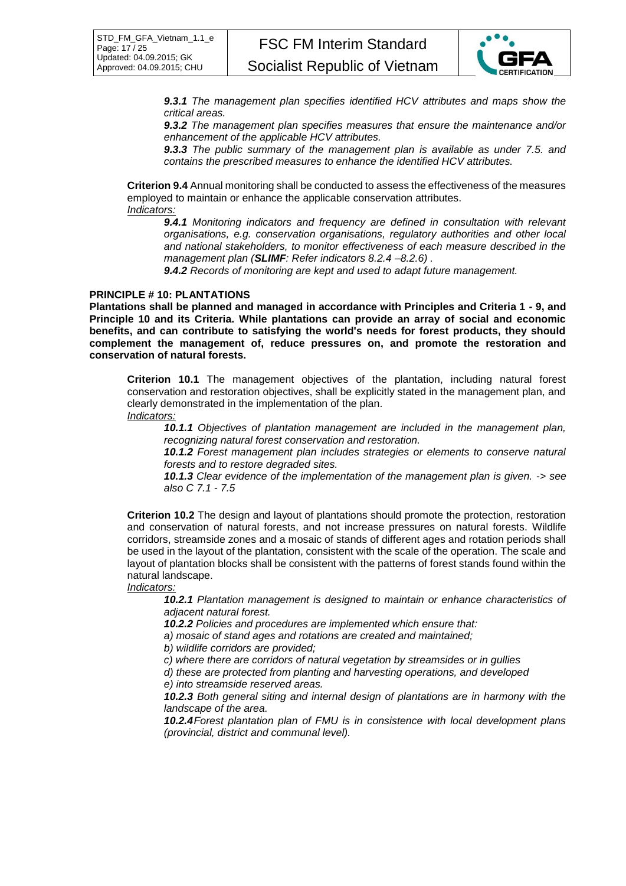

*9.3.1 The management plan specifies identified HCV attributes and maps show the critical areas.*

*9.3.2 The management plan specifies measures that ensure the maintenance and/or enhancement of the applicable HCV attributes.*

*9.3.3 The public summary of the management plan is available as under 7.5. and contains the prescribed measures to enhance the identified HCV attributes.*

**Criterion 9.4** Annual monitoring shall be conducted to assess the effectiveness of the measures employed to maintain or enhance the applicable conservation attributes. *Indicators:*

**9.4.1** Monitoring indicators and frequency are defined in consultation with relevant *organisations, e.g. conservation organisations, regulatory authorities and other local and national stakeholders, to monitor effectiveness of each measure described in the management plan (SLIMF: Refer indicators 8.2.4 –8.2.6) .*

*9.4.2 Records of monitoring are kept and used to adapt future management.*

#### **PRINCIPLE # 10: PLANTATIONS**

**Plantations shall be planned and managed in accordance with Principles and Criteria 1 - 9, and Principle 10 and its Criteria. While plantations can provide an array of social and economic benefits, and can contribute to satisfying the world's needs for forest products, they should complement the management of, reduce pressures on, and promote the restoration and conservation of natural forests.**

**Criterion 10.1** The management objectives of the plantation, including natural forest conservation and restoration objectives, shall be explicitly stated in the management plan, and clearly demonstrated in the implementation of the plan.

*Indicators:*

*10.1.1 Objectives of plantation management are included in the management plan, recognizing natural forest conservation and restoration.*

*10.1.2 Forest management plan includes strategies or elements to conserve natural forests and to restore degraded sites.*

*10.1.3 Clear evidence of the implementation of the management plan is given. -> see also C 7.1 - 7.5*

**Criterion 10.2** The design and layout of plantations should promote the protection, restoration and conservation of natural forests, and not increase pressures on natural forests. Wildlife corridors, streamside zones and a mosaic of stands of different ages and rotation periods shall be used in the layout of the plantation, consistent with the scale of the operation. The scale and layout of plantation blocks shall be consistent with the patterns of forest stands found within the natural landscape.

#### *Indicators:*

*10.2.1 Plantation management is designed to maintain or enhance characteristics of adjacent natural forest.*

*10.2.2 Policies and procedures are implemented which ensure that:*

*a) mosaic of stand ages and rotations are created and maintained;*

*b) wildlife corridors are provided;*

*c) where there are corridors of natural vegetation by streamsides or in gullies* 

*d) these are protected from planting and harvesting operations, and developed e) into streamside reserved areas.*

*10.2.3 Both general siting and internal design of plantations are in harmony with the landscape of the area.*

*10.2.4Forest plantation plan of FMU is in consistence with local development plans (provincial, district and communal level).*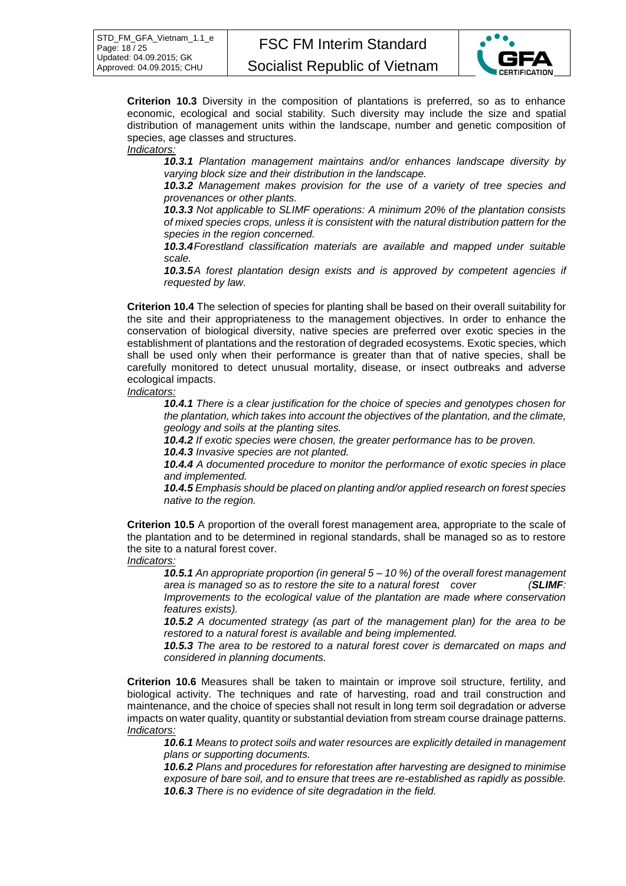

**Criterion 10.3** Diversity in the composition of plantations is preferred, so as to enhance economic, ecological and social stability. Such diversity may include the size and spatial distribution of management units within the landscape, number and genetic composition of species, age classes and structures.

*Indicators:*

*10.3.1 Plantation management maintains and/or enhances landscape diversity by varying block size and their distribution in the landscape.*

*10.3.2 Management makes provision for the use of a variety of tree species and provenances or other plants.* 

*10.3.3 Not applicable to SLIMF operations: A minimum 20% of the plantation consists of mixed species crops, unless it is consistent with the natural distribution pattern for the species in the region concerned.*

*10.3.4Forestland classification materials are available and mapped under suitable scale.*

*10.3.5A forest plantation design exists and is approved by competent agencies if requested by law.*

**Criterion 10.4** The selection of species for planting shall be based on their overall suitability for the site and their appropriateness to the management objectives. In order to enhance the conservation of biological diversity, native species are preferred over exotic species in the establishment of plantations and the restoration of degraded ecosystems. Exotic species, which shall be used only when their performance is greater than that of native species, shall be carefully monitored to detect unusual mortality, disease, or insect outbreaks and adverse ecological impacts.

#### *Indicators:*

*10.4.1 There is a clear justification for the choice of species and genotypes chosen for the plantation, which takes into account the objectives of the plantation, and the climate, geology and soils at the planting sites.*

*10.4.2 If exotic species were chosen, the greater performance has to be proven.*

*10.4.3 Invasive species are not planted.*

*10.4.4 A documented procedure to monitor the performance of exotic species in place and implemented.*

*10.4.5 Emphasis should be placed on planting and/or applied research on forest species native to the region.*

**Criterion 10.5** A proportion of the overall forest management area, appropriate to the scale of the plantation and to be determined in regional standards, shall be managed so as to restore the site to a natural forest cover.

#### *Indicators:*

*10.5.1 An appropriate proportion (in general 5 – 10 %) of the overall forest management area is managed so as to restore the site to a natural forest cover (SLIMF: Improvements to the ecological value of the plantation are made where conservation features exists).*

*10.5.2 A documented strategy (as part of the management plan) for the area to be restored to a natural forest is available and being implemented.*

*10.5.3 The area to be restored to a natural forest cover is demarcated on maps and considered in planning documents.*

**Criterion 10.6** Measures shall be taken to maintain or improve soil structure, fertility, and biological activity. The techniques and rate of harvesting, road and trail construction and maintenance, and the choice of species shall not result in long term soil degradation or adverse impacts on water quality, quantity or substantial deviation from stream course drainage patterns. *Indicators:*

*10.6.1 Means to protect soils and water resources are explicitly detailed in management plans or supporting documents.*

*10.6.2 Plans and procedures for reforestation after harvesting are designed to minimise exposure of bare soil, and to ensure that trees are re-established as rapidly as possible. 10.6.3 There is no evidence of site degradation in the field.*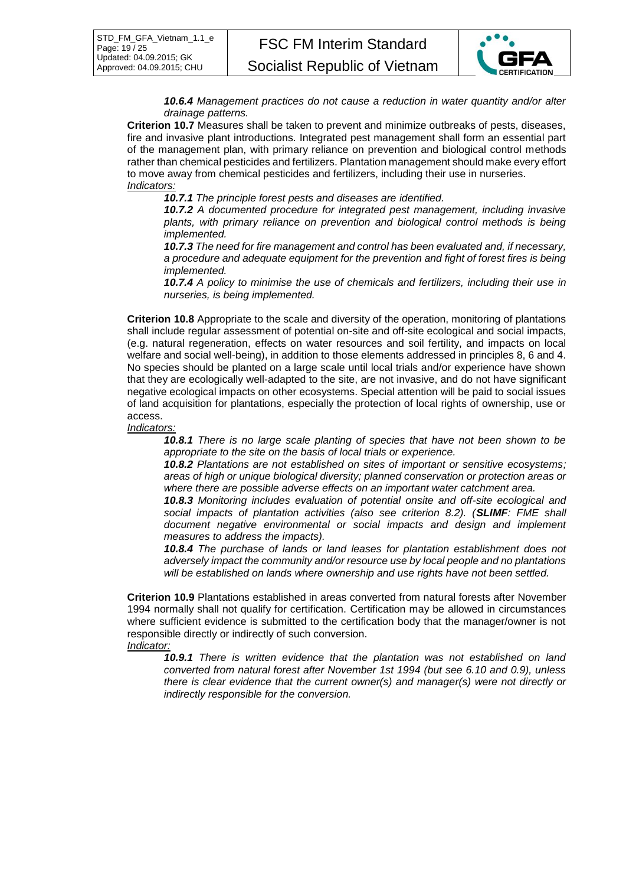

*10.6.4 Management practices do not cause a reduction in water quantity and/or alter drainage patterns.*

**Criterion 10.7** Measures shall be taken to prevent and minimize outbreaks of pests, diseases, fire and invasive plant introductions. Integrated pest management shall form an essential part of the management plan, with primary reliance on prevention and biological control methods rather than chemical pesticides and fertilizers. Plantation management should make every effort to move away from chemical pesticides and fertilizers, including their use in nurseries. *Indicators:*

*10.7.1 The principle forest pests and diseases are identified.*

*10.7.2 A documented procedure for integrated pest management, including invasive plants, with primary reliance on prevention and biological control methods is being implemented.*

*10.7.3 The need for fire management and control has been evaluated and, if necessary, a procedure and adequate equipment for the prevention and fight of forest fires is being implemented.*

*10.7.4 A policy to minimise the use of chemicals and fertilizers, including their use in nurseries, is being implemented.*

**Criterion 10.8** Appropriate to the scale and diversity of the operation, monitoring of plantations shall include regular assessment of potential on-site and off-site ecological and social impacts, (e.g. natural regeneration, effects on water resources and soil fertility, and impacts on local welfare and social well-being), in addition to those elements addressed in principles 8, 6 and 4. No species should be planted on a large scale until local trials and/or experience have shown that they are ecologically well-adapted to the site, are not invasive, and do not have significant negative ecological impacts on other ecosystems. Special attention will be paid to social issues of land acquisition for plantations, especially the protection of local rights of ownership, use or access.

*Indicators:*

*10.8.1 There is no large scale planting of species that have not been shown to be appropriate to the site on the basis of local trials or experience.*

*10.8.2 Plantations are not established on sites of important or sensitive ecosystems; areas of high or unique biological diversity; planned conservation or protection areas or where there are possible adverse effects on an important water catchment area.*

*10.8.3 Monitoring includes evaluation of potential onsite and off-site ecological and social impacts of plantation activities (also see criterion 8.2). (SLIMF: FME shall document negative environmental or social impacts and design and implement measures to address the impacts).*

*10.8.4 The purchase of lands or land leases for plantation establishment does not adversely impact the community and/or resource use by local people and no plantations will be established on lands where ownership and use rights have not been settled.*

**Criterion 10.9** Plantations established in areas converted from natural forests after November 1994 normally shall not qualify for certification. Certification may be allowed in circumstances where sufficient evidence is submitted to the certification body that the manager/owner is not responsible directly or indirectly of such conversion. *Indicator:*

*10.9.1 There is written evidence that the plantation was not established on land converted from natural forest after November 1st 1994 (but see 6.10 and 0.9), unless there is clear evidence that the current owner(s) and manager(s) were not directly or indirectly responsible for the conversion.*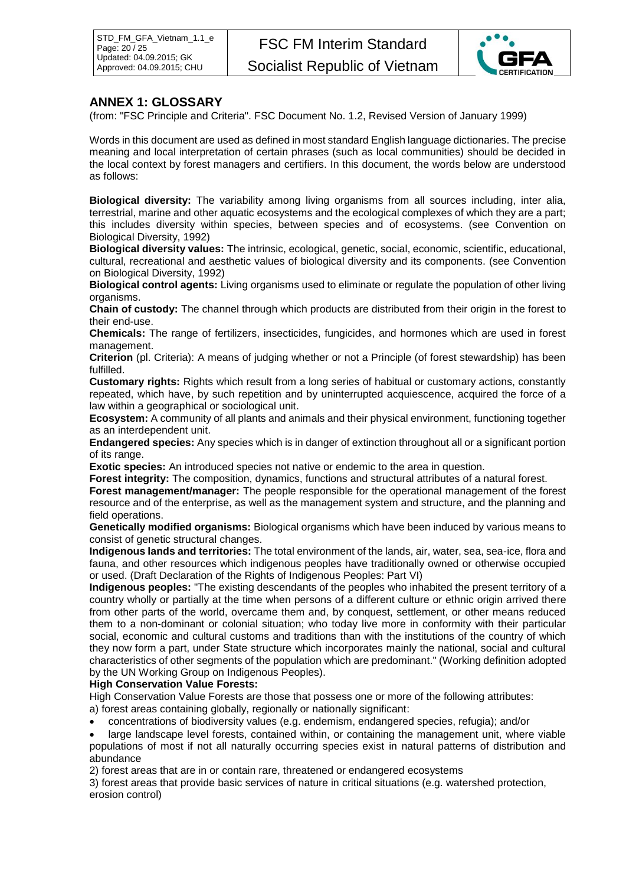

# **ANNEX 1: GLOSSARY**

(from: "FSC Principle and Criteria". FSC Document No. 1.2, Revised Version of January 1999)

Words in this document are used as defined in most standard English language dictionaries. The precise meaning and local interpretation of certain phrases (such as local communities) should be decided in the local context by forest managers and certifiers. In this document, the words below are understood as follows:

**Biological diversity:** The variability among living organisms from all sources including, inter alia, terrestrial, marine and other aquatic ecosystems and the ecological complexes of which they are a part; this includes diversity within species, between species and of ecosystems. (see Convention on Biological Diversity, 1992)

**Biological diversity values:** The intrinsic, ecological, genetic, social, economic, scientific, educational, cultural, recreational and aesthetic values of biological diversity and its components. (see Convention on Biological Diversity, 1992)

**Biological control agents:** Living organisms used to eliminate or regulate the population of other living organisms.

**Chain of custody:** The channel through which products are distributed from their origin in the forest to their end-use.

**Chemicals:** The range of fertilizers, insecticides, fungicides, and hormones which are used in forest management.

**Criterion** (pl. Criteria): A means of judging whether or not a Principle (of forest stewardship) has been fulfilled.

**Customary rights:** Rights which result from a long series of habitual or customary actions, constantly repeated, which have, by such repetition and by uninterrupted acquiescence, acquired the force of a law within a geographical or sociological unit.

**Ecosystem:** A community of all plants and animals and their physical environment, functioning together as an interdependent unit.

**Endangered species:** Any species which is in danger of extinction throughout all or a significant portion of its range.

**Exotic species:** An introduced species not native or endemic to the area in question.

**Forest integrity:** The composition, dynamics, functions and structural attributes of a natural forest.

**Forest management/manager:** The people responsible for the operational management of the forest resource and of the enterprise, as well as the management system and structure, and the planning and field operations.

**Genetically modified organisms:** Biological organisms which have been induced by various means to consist of genetic structural changes.

**Indigenous lands and territories:** The total environment of the lands, air, water, sea, sea-ice, flora and fauna, and other resources which indigenous peoples have traditionally owned or otherwise occupied or used. (Draft Declaration of the Rights of Indigenous Peoples: Part VI)

**Indigenous peoples:** "The existing descendants of the peoples who inhabited the present territory of a country wholly or partially at the time when persons of a different culture or ethnic origin arrived there from other parts of the world, overcame them and, by conquest, settlement, or other means reduced them to a non-dominant or colonial situation; who today live more in conformity with their particular social, economic and cultural customs and traditions than with the institutions of the country of which they now form a part, under State structure which incorporates mainly the national, social and cultural characteristics of other segments of the population which are predominant." (Working definition adopted by the UN Working Group on Indigenous Peoples).

#### **High Conservation Value Forests:**

High Conservation Value Forests are those that possess one or more of the following attributes: a) forest areas containing globally, regionally or nationally significant:

concentrations of biodiversity values (e.g. endemism, endangered species, refugia); and/or

 large landscape level forests, contained within, or containing the management unit, where viable populations of most if not all naturally occurring species exist in natural patterns of distribution and abundance

2) forest areas that are in or contain rare, threatened or endangered ecosystems

3) forest areas that provide basic services of nature in critical situations (e.g. watershed protection, erosion control)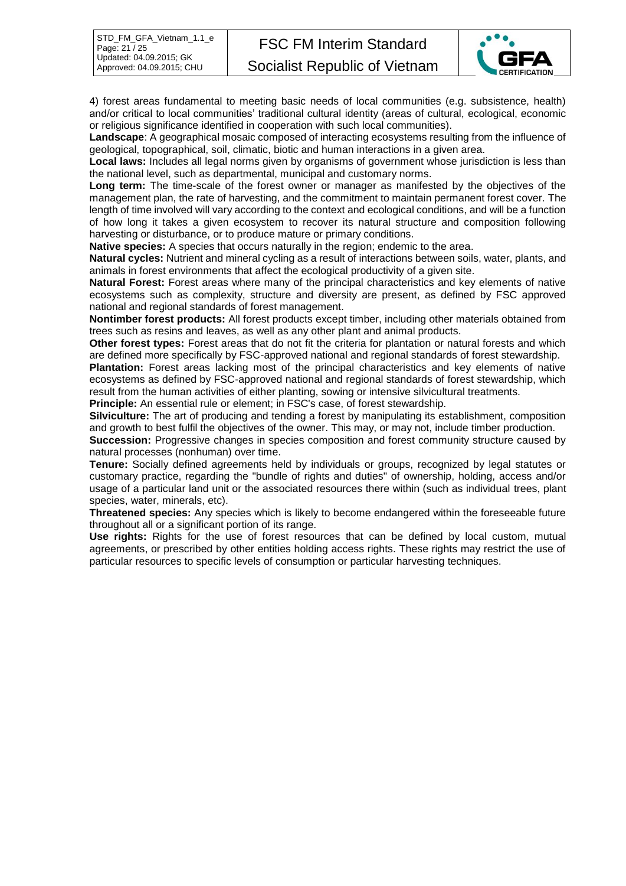

4) forest areas fundamental to meeting basic needs of local communities (e.g. subsistence, health) and/or critical to local communities' traditional cultural identity (areas of cultural, ecological, economic or religious significance identified in cooperation with such local communities).

**Landscape**: A geographical mosaic composed of interacting ecosystems resulting from the influence of geological, topographical, soil, climatic, biotic and human interactions in a given area.

**Local laws:** Includes all legal norms given by organisms of government whose jurisdiction is less than the national level, such as departmental, municipal and customary norms.

**Long term:** The time-scale of the forest owner or manager as manifested by the objectives of the management plan, the rate of harvesting, and the commitment to maintain permanent forest cover. The length of time involved will vary according to the context and ecological conditions, and will be a function of how long it takes a given ecosystem to recover its natural structure and composition following harvesting or disturbance, or to produce mature or primary conditions.

**Native species:** A species that occurs naturally in the region; endemic to the area.

**Natural cycles:** Nutrient and mineral cycling as a result of interactions between soils, water, plants, and animals in forest environments that affect the ecological productivity of a given site.

**Natural Forest:** Forest areas where many of the principal characteristics and key elements of native ecosystems such as complexity, structure and diversity are present, as defined by FSC approved national and regional standards of forest management.

**Nontimber forest products:** All forest products except timber, including other materials obtained from trees such as resins and leaves, as well as any other plant and animal products.

**Other forest types:** Forest areas that do not fit the criteria for plantation or natural forests and which are defined more specifically by FSC-approved national and regional standards of forest stewardship.

**Plantation:** Forest areas lacking most of the principal characteristics and key elements of native ecosystems as defined by FSC-approved national and regional standards of forest stewardship, which result from the human activities of either planting, sowing or intensive silvicultural treatments.

**Principle:** An essential rule or element; in FSC's case, of forest stewardship.

**Silviculture:** The art of producing and tending a forest by manipulating its establishment, composition and growth to best fulfil the objectives of the owner. This may, or may not, include timber production.

**Succession:** Progressive changes in species composition and forest community structure caused by natural processes (nonhuman) over time.

**Tenure:** Socially defined agreements held by individuals or groups, recognized by legal statutes or customary practice, regarding the "bundle of rights and duties" of ownership, holding, access and/or usage of a particular land unit or the associated resources there within (such as individual trees, plant species, water, minerals, etc).

**Threatened species:** Any species which is likely to become endangered within the foreseeable future throughout all or a significant portion of its range.

**Use rights:** Rights for the use of forest resources that can be defined by local custom, mutual agreements, or prescribed by other entities holding access rights. These rights may restrict the use of particular resources to specific levels of consumption or particular harvesting techniques.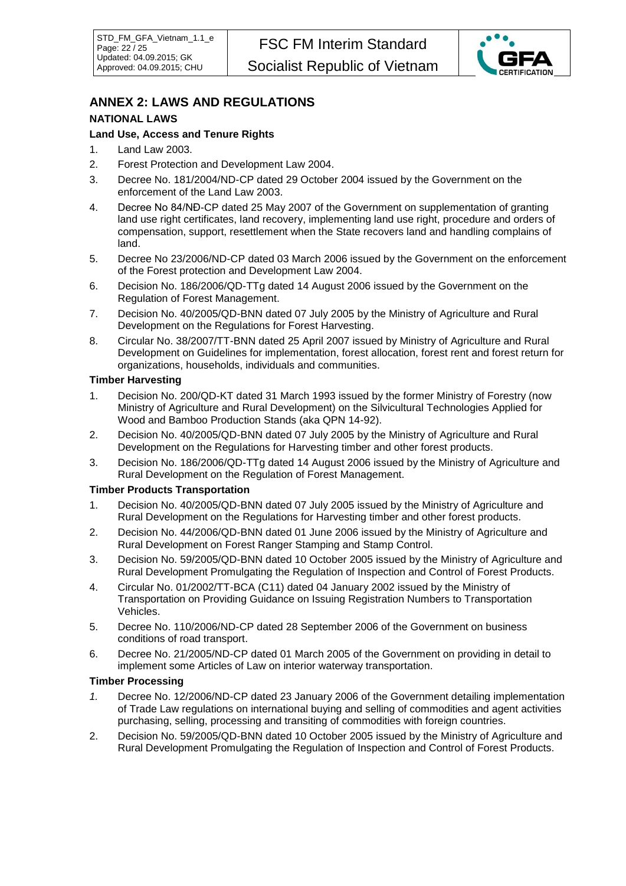

# **ANNEX 2: LAWS AND REGULATIONS**

# **NATIONAL LAWS**

# **Land Use, Access and Tenure Rights**

- 1. Land Law 2003.
- 2. Forest Protection and Development Law 2004.
- 3. Decree No. 181/2004/ND-CP dated 29 October 2004 issued by the Government on the enforcement of the Land Law 2003.
- 4. Decree No 84/NĐ-CP dated 25 May 2007 of the Government on supplementation of granting land use right certificates, land recovery, implementing land use right, procedure and orders of compensation, support, resettlement when the State recovers land and handling complains of land.
- 5. Decree No 23/2006/ND-CP dated 03 March 2006 issued by the Government on the enforcement of the Forest protection and Development Law 2004.
- 6. Decision No. 186/2006/QD-TTg dated 14 August 2006 issued by the Government on the Regulation of Forest Management.
- 7. Decision No. 40/2005/QD-BNN dated 07 July 2005 by the Ministry of Agriculture and Rural Development on the Regulations for Forest Harvesting.
- 8. Circular No. 38/2007/TT-BNN dated 25 April 2007 issued by Ministry of Agriculture and Rural Development on Guidelines for implementation, forest allocation, forest rent and forest return for organizations, households, individuals and communities.

# **Timber Harvesting**

- 1. Decision No. 200/QD-KT dated 31 March 1993 issued by the former Ministry of Forestry (now Ministry of Agriculture and Rural Development) on the Silvicultural Technologies Applied for Wood and Bamboo Production Stands (aka QPN 14-92).
- 2. Decision No. 40/2005/QD-BNN dated 07 July 2005 by the Ministry of Agriculture and Rural Development on the Regulations for Harvesting timber and other forest products.
- 3. Decision No. 186/2006/QD-TTg dated 14 August 2006 issued by the Ministry of Agriculture and Rural Development on the Regulation of Forest Management.

# **Timber Products Transportation**

- 1. Decision No. 40/2005/QD-BNN dated 07 July 2005 issued by the Ministry of Agriculture and Rural Development on the Regulations for Harvesting timber and other forest products.
- 2. Decision No. 44/2006/QD-BNN dated 01 June 2006 issued by the Ministry of Agriculture and Rural Development on Forest Ranger Stamping and Stamp Control.
- 3. Decision No. 59/2005/QD-BNN dated 10 October 2005 issued by the Ministry of Agriculture and Rural Development Promulgating the Regulation of Inspection and Control of Forest Products.
- 4. Circular No. 01/2002/TT-BCA (C11) dated 04 January 2002 issued by the Ministry of Transportation on Providing Guidance on Issuing Registration Numbers to Transportation Vehicles.
- 5. Decree No. 110/2006/ND-CP dated 28 September 2006 of the Government on business conditions of road transport.
- 6. Decree No. 21/2005/ND-CP dated 01 March 2005 of the Government on providing in detail to implement some Articles of Law on interior waterway transportation.

# **Timber Processing**

- *1.* Decree No. 12/2006/ND-CP dated 23 January 2006 of the Government detailing implementation of Trade Law regulations on international buying and selling of commodities and agent activities purchasing, selling, processing and transiting of commodities with foreign countries.
- 2. Decision No. 59/2005/QD-BNN dated 10 October 2005 issued by the Ministry of Agriculture and Rural Development Promulgating the Regulation of Inspection and Control of Forest Products.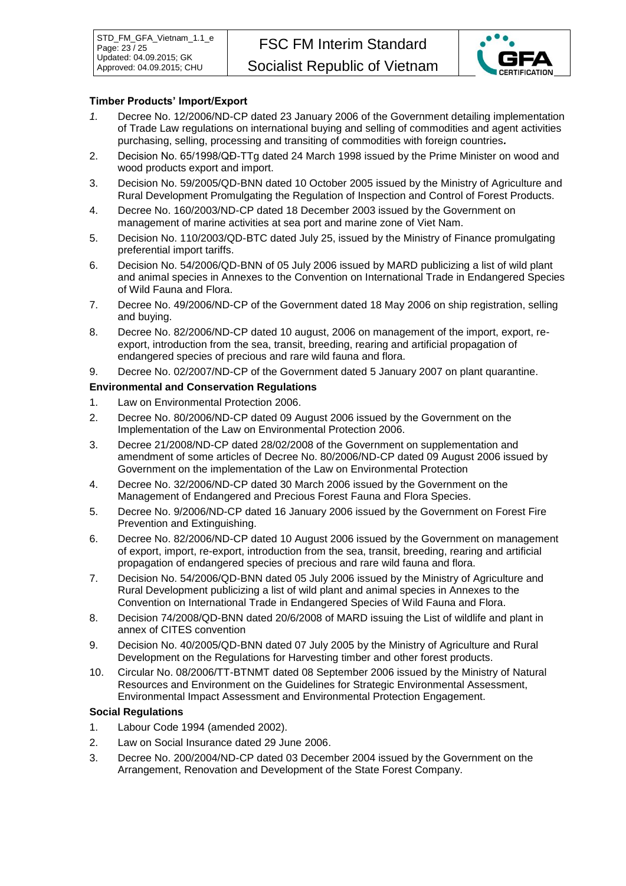

## **Timber Products' Import/Export**

- *1.* Decree No. 12/2006/ND-CP dated 23 January 2006 of the Government detailing implementation of Trade Law regulations on international buying and selling of commodities and agent activities purchasing, selling, processing and transiting of commodities with foreign countries*.*
- 2. Decision No. 65/1998/QĐ-TTg dated 24 March 1998 issued by the Prime Minister on wood and wood products export and import.
- 3. Decision No. 59/2005/QD-BNN dated 10 October 2005 issued by the Ministry of Agriculture and Rural Development Promulgating the Regulation of Inspection and Control of Forest Products.
- 4. Decree No. 160/2003/ND-CP dated 18 December 2003 issued by the Government on management of marine activities at sea port and marine zone of Viet Nam.
- 5. Decision No. 110/2003/QD-BTC dated July 25, issued by the Ministry of Finance promulgating preferential import tariffs.
- 6. Decision No. 54/2006/QD-BNN of 05 July 2006 issued by MARD publicizing a list of wild plant and animal species in Annexes to the Convention on International Trade in Endangered Species of Wild Fauna and Flora.
- 7. Decree No. 49/2006/ND-CP of the Government dated 18 May 2006 on ship registration, selling and buying.
- 8. Decree No. 82/2006/ND-CP dated 10 august, 2006 on management of the import, export, reexport, introduction from the sea, transit, breeding, rearing and artificial propagation of endangered species of precious and rare wild fauna and flora.
- 9. Decree No. 02/2007/ND-CP of the Government dated 5 January 2007 on plant quarantine.

# **Environmental and Conservation Regulations**

- 1. Law on Environmental Protection 2006.
- 2. Decree No. 80/2006/ND-CP dated 09 August 2006 issued by the Government on the Implementation of the Law on Environmental Protection 2006.
- 3. Decree 21/2008/ND-CP dated 28/02/2008 of the Government on supplementation and amendment of some articles of Decree No. 80/2006/ND-CP dated 09 August 2006 issued by Government on the implementation of the Law on Environmental Protection
- 4. Decree No. 32/2006/ND-CP dated 30 March 2006 issued by the Government on the Management of Endangered and Precious Forest Fauna and Flora Species.
- 5. Decree No. 9/2006/ND-CP dated 16 January 2006 issued by the Government on Forest Fire Prevention and Extinguishing.
- 6. Decree No. 82/2006/ND-CP dated 10 August 2006 issued by the Government on management of export, import, re-export, introduction from the sea, transit, breeding, rearing and artificial propagation of endangered species of precious and rare wild fauna and flora.
- 7. Decision No. 54/2006/QD-BNN dated 05 July 2006 issued by the Ministry of Agriculture and Rural Development publicizing a list of wild plant and animal species in Annexes to the Convention on International Trade in Endangered Species of Wild Fauna and Flora.
- 8. Decision 74/2008/QD-BNN dated 20/6/2008 of MARD issuing the List of wildlife and plant in annex of CITES convention
- 9. Decision No. 40/2005/QD-BNN dated 07 July 2005 by the Ministry of Agriculture and Rural Development on the Regulations for Harvesting timber and other forest products.
- 10. Circular No. 08/2006/TT-BTNMT dated 08 September 2006 issued by the Ministry of Natural Resources and Environment on the Guidelines for Strategic Environmental Assessment, Environmental Impact Assessment and Environmental Protection Engagement.

#### **Social Regulations**

- 1. Labour Code 1994 (amended 2002).
- 2. Law on Social Insurance dated 29 June 2006.
- 3. Decree No. 200/2004/ND-CP dated 03 December 2004 issued by the Government on the Arrangement, Renovation and Development of the State Forest Company.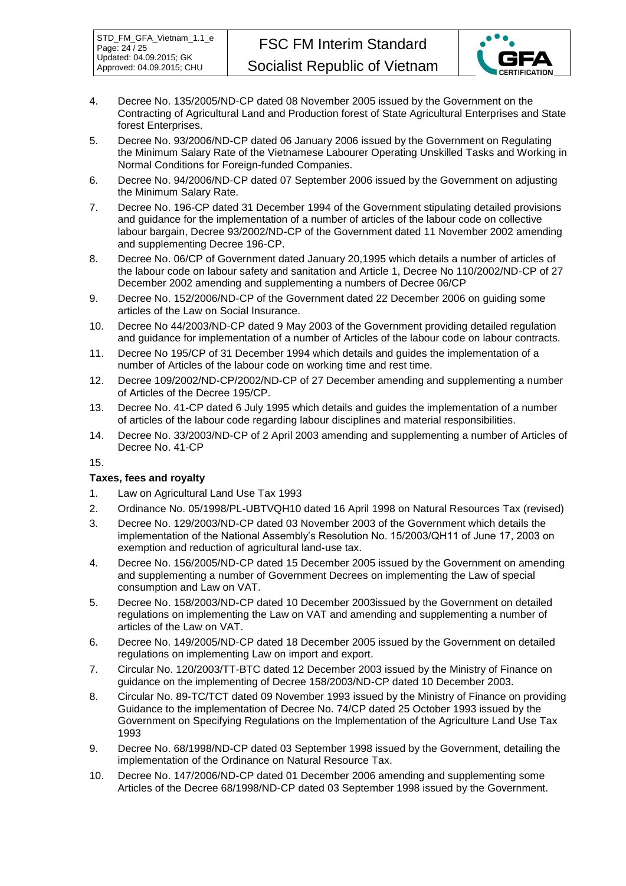

- 4. Decree No. 135/2005/ND-CP dated 08 November 2005 issued by the Government on the Contracting of Agricultural Land and Production forest of State Agricultural Enterprises and State forest Enterprises.
- 5. Decree No. 93/2006/ND-CP dated 06 January 2006 issued by the Government on Regulating the Minimum Salary Rate of the Vietnamese Labourer Operating Unskilled Tasks and Working in Normal Conditions for Foreign-funded Companies.
- 6. Decree No. 94/2006/ND-CP dated 07 September 2006 issued by the Government on adjusting the Minimum Salary Rate.
- 7. Decree No. 196-CP dated 31 December 1994 of the Government stipulating detailed provisions and guidance for the implementation of a number of articles of the labour code on collective labour bargain, Decree 93/2002/ND-CP of the Government dated 11 November 2002 amending and supplementing Decree 196-CP.
- 8. Decree No. 06/CP of Government dated January 20,1995 which details a number of articles of the labour code on labour safety and sanitation and Article 1, Decree No 110/2002/ND-CP of 27 December 2002 amending and supplementing a numbers of Decree 06/CP
- 9. Decree No. 152/2006/ND-CP of the Government dated 22 December 2006 on guiding some articles of the Law on Social Insurance.
- 10. Decree No 44/2003/ND-CP dated 9 May 2003 of the Government providing detailed regulation and guidance for implementation of a number of Articles of the labour code on labour contracts.
- 11. Decree No 195/CP of 31 December 1994 which details and guides the implementation of a number of Articles of the labour code on working time and rest time.
- 12. Decree 109/2002/ND-CP/2002/ND-CP of 27 December amending and supplementing a number of Articles of the Decree 195/CP.
- 13. Decree No. 41-CP dated 6 July 1995 which details and guides the implementation of a number of articles of the labour code regarding labour disciplines and material responsibilities.
- 14. Decree No. 33/2003/ND-CP of 2 April 2003 amending and supplementing a number of Articles of Decree No. 41-CP

15.

# **Taxes, fees and royalty**

- 1. Law on Agricultural Land Use Tax 1993
- 2. Ordinance No. 05/1998/PL-UBTVQH10 dated 16 April 1998 on Natural Resources Tax (revised)
- 3. Decree No. 129/2003/ND-CP dated 03 November 2003 of the Government which details the implementation of the National Assembly's Resolution No. 15/2003/QH11 of June 17, 2003 on exemption and reduction of agricultural land-use tax.
- 4. Decree No. 156/2005/ND-CP dated 15 December 2005 issued by the Government on amending and supplementing a number of Government Decrees on implementing the Law of special consumption and Law on VAT.
- 5. Decree No. 158/2003/ND-CP dated 10 December 2003issued by the Government on detailed regulations on implementing the Law on VAT and amending and supplementing a number of articles of the Law on VAT.
- 6. Decree No. 149/2005/ND-CP dated 18 December 2005 issued by the Government on detailed regulations on implementing Law on import and export.
- 7. Circular No. 120/2003/TT-BTC dated 12 December 2003 issued by the Ministry of Finance on guidance on the implementing of Decree 158/2003/ND-CP dated 10 December 2003.
- 8. Circular No. 89-TC/TCT dated 09 November 1993 issued by the Ministry of Finance on providing Guidance to the implementation of Decree No. 74/CP dated 25 October 1993 issued by the Government on Specifying Regulations on the Implementation of the Agriculture Land Use Tax 1993
- 9. Decree No. 68/1998/ND-CP dated 03 September 1998 issued by the Government, detailing the implementation of the Ordinance on Natural Resource Tax.
- 10. Decree No. 147/2006/ND-CP dated 01 December 2006 amending and supplementing some Articles of the Decree 68/1998/ND-CP dated 03 September 1998 issued by the Government.